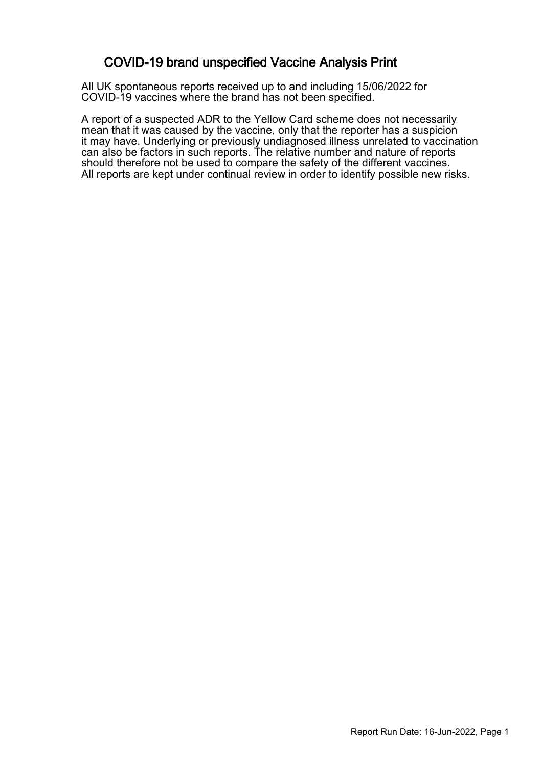### COVID-19 brand unspecified Vaccine Analysis Print

All UK spontaneous reports received up to and including 15/06/2022 for COVID-19 vaccines where the brand has not been specified.

A report of a suspected ADR to the Yellow Card scheme does not necessarily mean that it was caused by the vaccine, only that the reporter has a suspicion it may have. Underlying or previously undiagnosed illness unrelated to vaccination can also be factors in such reports. The relative number and nature of reports should therefore not be used to compare the safety of the different vaccines. All reports are kept under continual review in order to identify possible new risks.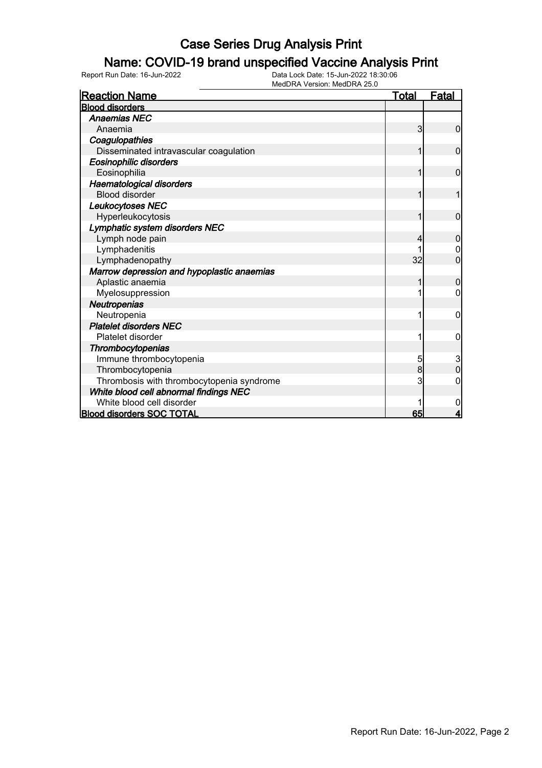### Name: COVID-19 brand unspecified Vaccine Analysis Print

| <b>Reaction Name</b>                       | <u>Total</u> | <b>Fatal</b>            |
|--------------------------------------------|--------------|-------------------------|
| <b>Blood disorders</b>                     |              |                         |
| <b>Anaemias NEC</b>                        |              |                         |
| Anaemia                                    | 3            | 0                       |
| Coagulopathies                             |              |                         |
| Disseminated intravascular coagulation     | 1            | 0                       |
| <b>Eosinophilic disorders</b>              |              |                         |
| Eosinophilia                               | 1            | $\overline{0}$          |
| <b>Haematological disorders</b>            |              |                         |
| <b>Blood disorder</b>                      | 1            |                         |
| Leukocytoses NEC                           |              |                         |
| Hyperleukocytosis                          | 1            | $\overline{0}$          |
| Lymphatic system disorders NEC             |              |                         |
| Lymph node pain                            | 4            | 0                       |
| Lymphadenitis                              |              | 0                       |
| Lymphadenopathy                            | 32           | $\overline{0}$          |
| Marrow depression and hypoplastic anaemias |              |                         |
| Aplastic anaemia                           |              | 0                       |
| Myelosuppression                           |              | 0                       |
| Neutropenias                               |              |                         |
| Neutropenia                                |              | 0                       |
| <b>Platelet disorders NEC</b>              |              |                         |
| Platelet disorder                          |              | 0                       |
| Thrombocytopenias                          |              |                         |
| Immune thrombocytopenia                    | 5            | $\frac{3}{0}$           |
| Thrombocytopenia                           | 8            |                         |
| Thrombosis with thrombocytopenia syndrome  | 3            | 0                       |
| White blood cell abnormal findings NEC     |              |                         |
| White blood cell disorder                  |              | 0                       |
| <b>Blood disorders SOC TOTAL</b>           | 65           | $\overline{\mathbf{4}}$ |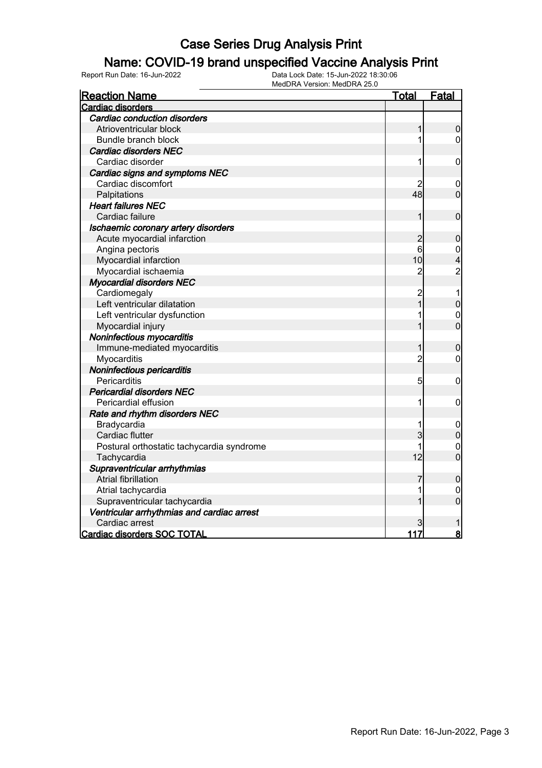### Name: COVID-19 brand unspecified Vaccine Analysis Print

| <u>Reaction Name</u>                       | <u>Total</u>   | <b>Fatal</b>     |
|--------------------------------------------|----------------|------------------|
| <b>Cardiac disorders</b>                   |                |                  |
| <b>Cardiac conduction disorders</b>        |                |                  |
| Atrioventricular block                     | 1              | $\overline{0}$   |
| <b>Bundle branch block</b>                 | 1              | $\overline{0}$   |
| <b>Cardiac disorders NEC</b>               |                |                  |
| Cardiac disorder                           | 1              | 0                |
| Cardiac signs and symptoms NEC             |                |                  |
| Cardiac discomfort                         |                | $\mathbf 0$      |
| Palpitations                               | 48             | $\mathbf 0$      |
| <b>Heart failures NEC</b>                  |                |                  |
| Cardiac failure                            | 1              | $\mathbf 0$      |
| Ischaemic coronary artery disorders        |                |                  |
| Acute myocardial infarction                | $\overline{c}$ | $\bf 0$          |
| Angina pectoris                            | 6              | $\boldsymbol{0}$ |
| Myocardial infarction                      | 10             | 4                |
| Myocardial ischaemia                       | $\overline{2}$ | $\overline{c}$   |
| <b>Myocardial disorders NEC</b>            |                |                  |
| Cardiomegaly                               | $\overline{c}$ | 1                |
| Left ventricular dilatation                | 1              | $\mathbf 0$      |
| Left ventricular dysfunction               | 1              | $\mathbf 0$      |
| Myocardial injury                          |                | $\overline{0}$   |
| Noninfectious myocarditis                  |                |                  |
| Immune-mediated myocarditis                | 1              | $\bf 0$          |
| Myocarditis                                | $\overline{2}$ | $\mathbf 0$      |
| Noninfectious pericarditis                 |                |                  |
| Pericarditis                               | 5              | 0                |
| <b>Pericardial disorders NEC</b>           |                |                  |
| Pericardial effusion                       | 1              | $\mathbf 0$      |
| Rate and rhythm disorders NEC              |                |                  |
| Bradycardia                                | 1              | $\mathbf 0$      |
| Cardiac flutter                            | 3              | $\overline{0}$   |
| Postural orthostatic tachycardia syndrome  | 1              | $\mathbf 0$      |
| Tachycardia                                | 12             | $\overline{0}$   |
| Supraventricular arrhythmias               |                |                  |
| <b>Atrial fibrillation</b>                 | 7              | $\mathbf 0$      |
| Atrial tachycardia                         | 1              | $\mathbf{0}$     |
| Supraventricular tachycardia               | 1              | $\overline{0}$   |
| Ventricular arrhythmias and cardiac arrest |                |                  |
| Cardiac arrest                             |                |                  |
| Cardiac disorders SOC TOTAL                | 117            | $\bf{8}$         |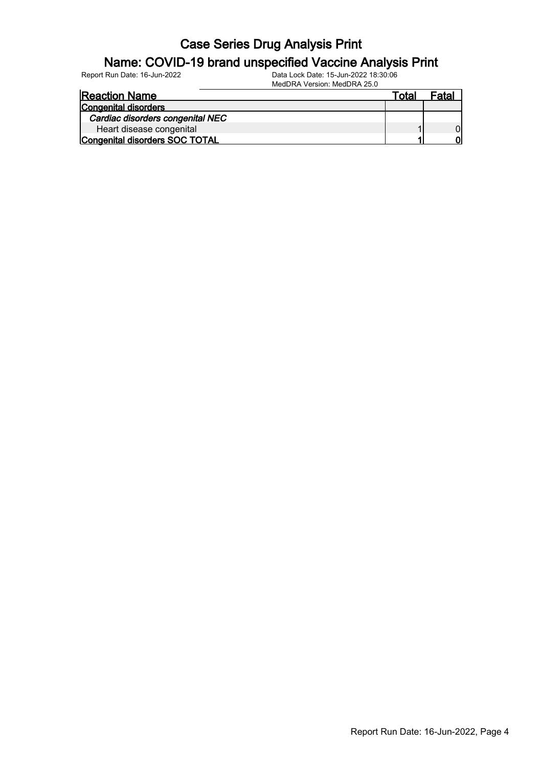#### Name: COVID-19 brand unspecified Vaccine Analysis Print

Report Run Date: 16-Jun-2022 Data Lock Date: 15-Jun-2022 18:30:06 MedDRA Version: MedDRA 25.0

| <b>Reaction Name</b>             | ™ota⊦ | Fatal |
|----------------------------------|-------|-------|
| <b>Congenital disorders</b>      |       |       |
| Cardiac disorders congenital NEC |       |       |
| Heart disease congenital         |       |       |
| Congenital disorders SOC TOTAL   |       |       |

Report Run Date: 16-Jun-2022, Page 4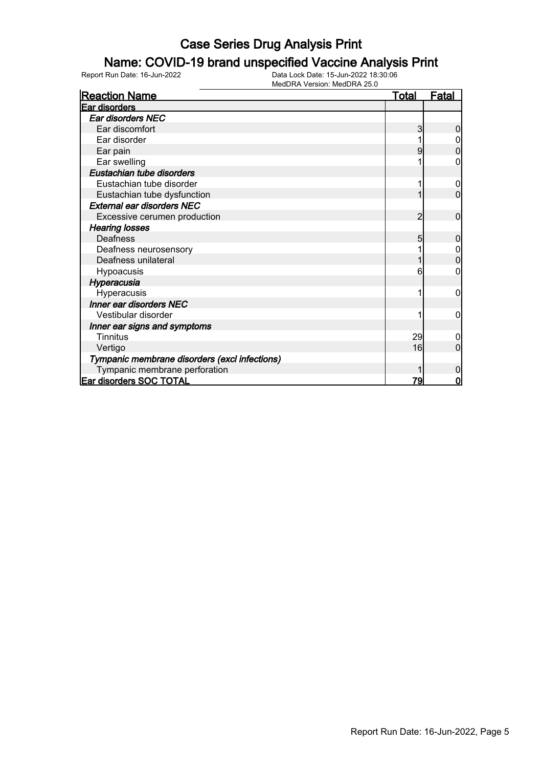### Name: COVID-19 brand unspecified Vaccine Analysis Print

| <b>Reaction Name</b>                          | <b>Total</b>   | <b>Fatal</b> |
|-----------------------------------------------|----------------|--------------|
| <b>Ear disorders</b>                          |                |              |
| Ear disorders NEC                             |                |              |
| Ear discomfort                                |                |              |
| Ear disorder                                  |                |              |
| Ear pain                                      |                | 0            |
| Ear swelling                                  |                | 0            |
| Eustachian tube disorders                     |                |              |
| Eustachian tube disorder                      |                |              |
| Eustachian tube dysfunction                   |                | $\Omega$     |
| <b>External ear disorders NEC</b>             |                |              |
| Excessive cerumen production                  | $\overline{2}$ | 0            |
| <b>Hearing losses</b>                         |                |              |
| Deafness                                      | 5              | 0            |
| Deafness neurosensory                         |                |              |
| Deafness unilateral                           |                | 0            |
| Hypoacusis                                    | 6              | 0            |
| Hyperacusia                                   |                |              |
| Hyperacusis                                   |                | 0            |
| Inner ear disorders NEC                       |                |              |
| Vestibular disorder                           |                | 0            |
| Inner ear signs and symptoms                  |                |              |
| <b>Tinnitus</b>                               | 29             |              |
| Vertigo                                       | 16             | $\Omega$     |
| Tympanic membrane disorders (excl infections) |                |              |
| Tympanic membrane perforation                 |                | 0            |
| <b>Ear disorders SOC TOTAL</b>                | 79             | 0            |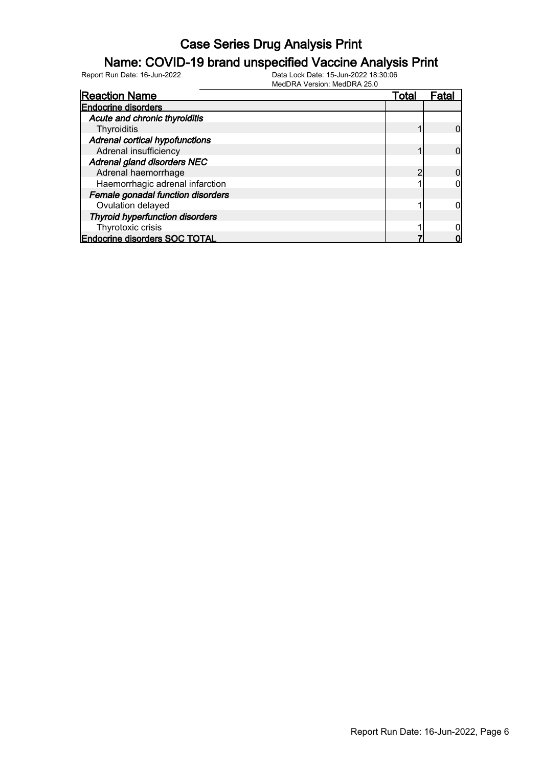#### Name: COVID-19 brand unspecified Vaccine Analysis Print

| <b>Reaction Name</b>                   | Total | ⊦ata |
|----------------------------------------|-------|------|
| <b>Endocrine disorders</b>             |       |      |
| Acute and chronic thyroiditis          |       |      |
| Thyroiditis                            |       |      |
| <b>Adrenal cortical hypofunctions</b>  |       |      |
| Adrenal insufficiency                  |       |      |
| Adrenal gland disorders NEC            |       |      |
| Adrenal haemorrhage                    |       |      |
| Haemorrhagic adrenal infarction        |       |      |
| Female gonadal function disorders      |       |      |
| Ovulation delayed                      |       |      |
| <b>Thyroid hyperfunction disorders</b> |       |      |
| Thyrotoxic crisis                      |       |      |
| <b>Endocrine disorders SOC TOTAL</b>   |       |      |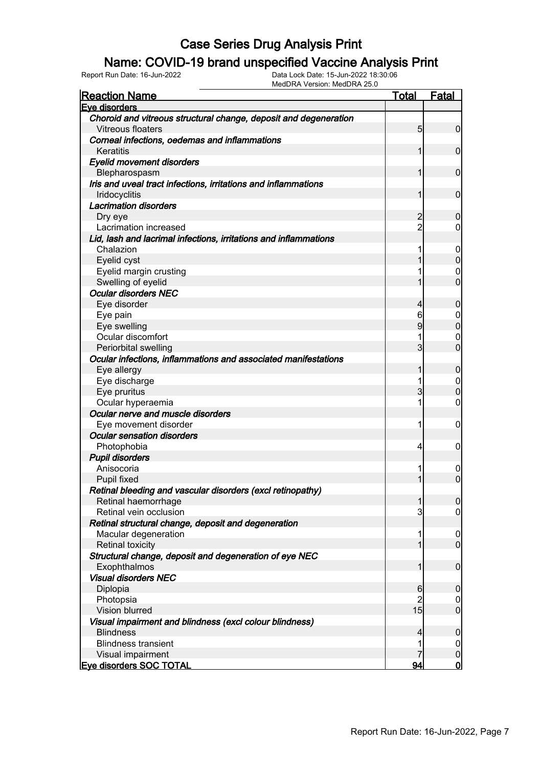#### Name: COVID-19 brand unspecified Vaccine Analysis Print

| <u>Reaction Name</u>                                             | <b>Total</b>    | <b>Fatal</b>     |
|------------------------------------------------------------------|-----------------|------------------|
| Eve disorders                                                    |                 |                  |
| Choroid and vitreous structural change, deposit and degeneration |                 |                  |
| <b>Vitreous floaters</b>                                         | $5\overline{)}$ | $\overline{0}$   |
| Corneal infections, oedemas and inflammations                    |                 |                  |
| Keratitis                                                        | 1               | $\mathbf 0$      |
| <b>Eyelid movement disorders</b>                                 |                 |                  |
| Blepharospasm                                                    | 1               | $\mathbf 0$      |
| Iris and uveal tract infections, irritations and inflammations   |                 |                  |
| Iridocyclitis                                                    | 1               | $\mathbf 0$      |
| <b>Lacrimation disorders</b>                                     |                 |                  |
| Dry eye                                                          | $\overline{c}$  | $\boldsymbol{0}$ |
| Lacrimation increased                                            | $\overline{2}$  | $\overline{0}$   |
| Lid, lash and lacrimal infections, irritations and inflammations |                 |                  |
| Chalazion                                                        | 1               | $\mathbf 0$      |
| Eyelid cyst                                                      | 1               | $\mathbf 0$      |
| Eyelid margin crusting                                           | 1               | 0                |
| Swelling of eyelid                                               | 1               | $\overline{0}$   |
| <b>Ocular disorders NEC</b>                                      |                 |                  |
| Eye disorder                                                     | $\overline{4}$  | $\boldsymbol{0}$ |
| Eye pain                                                         | 6               | 0                |
| Eye swelling                                                     | 9               | $\mathbf 0$      |
| Ocular discomfort                                                | 1               | 0                |
| Periorbital swelling                                             | 3               | $\overline{0}$   |
| Ocular infections, inflammations and associated manifestations   |                 |                  |
| Eye allergy                                                      | 1               | $\mathbf 0$      |
| Eye discharge                                                    | 1               | 0                |
| Eye pruritus                                                     | 3               | $\mathbf 0$      |
| Ocular hyperaemia                                                | 1               | 0                |
| Ocular nerve and muscle disorders                                |                 |                  |
| Eye movement disorder                                            | 1               | $\mathbf 0$      |
| <b>Ocular sensation disorders</b>                                |                 |                  |
| Photophobia                                                      | $\vert 4 \vert$ | $\mathbf 0$      |
| <b>Pupil disorders</b>                                           |                 |                  |
| Anisocoria                                                       | 1               | $\mathbf 0$      |
| Pupil fixed                                                      | 1               | $\mathbf 0$      |
| Retinal bleeding and vascular disorders (excl retinopathy)       |                 |                  |
| Retinal haemorrhage                                              | $\mathbf{1}$    | $\overline{0}$   |
| Retinal vein occlusion                                           | 3               | $\overline{0}$   |
| Retinal structural change, deposit and degeneration              |                 |                  |
| Macular degeneration                                             | 1               | $\overline{0}$   |
| <b>Retinal toxicity</b>                                          | 1               | $\boldsymbol{0}$ |
| Structural change, deposit and degeneration of eye NEC           |                 |                  |
| Exophthalmos                                                     | 1               | $\boldsymbol{0}$ |
| <b>Visual disorders NEC</b>                                      |                 |                  |
| Diplopia                                                         | 6               | $\boldsymbol{0}$ |
| Photopsia                                                        | $\overline{2}$  | $\overline{0}$   |
| Vision blurred                                                   | 15              | $\boldsymbol{0}$ |
| Visual impairment and blindness (excl colour blindness)          |                 |                  |
| <b>Blindness</b>                                                 | $\overline{4}$  | $\boldsymbol{0}$ |
| <b>Blindness transient</b>                                       | 1               | $\overline{0}$   |
| Visual impairment                                                | 7               | $\pmb{0}$        |
| <b>Eve disorders SOC TOTAL</b>                                   | 94              | <u>o</u>         |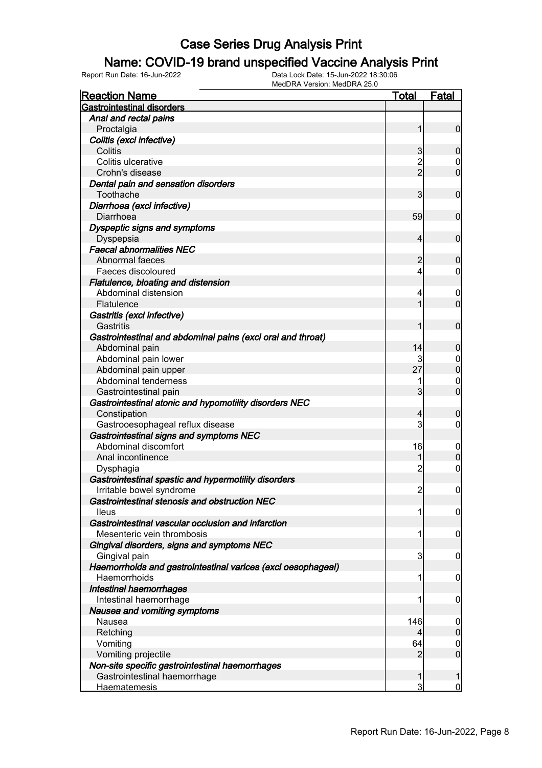### Name: COVID-19 brand unspecified Vaccine Analysis Print

| <b>Reaction Name</b>                                         | <b>Total</b>   | <b>Fatal</b>     |
|--------------------------------------------------------------|----------------|------------------|
| <b>Gastrointestinal disorders</b>                            |                |                  |
| Anal and rectal pains                                        |                |                  |
| Proctalgia                                                   | 1              | $\overline{0}$   |
| Colitis (excl infective)                                     |                |                  |
| Colitis                                                      | 3              | $\mathbf 0$      |
| Colitis ulcerative                                           | $\overline{c}$ | $\boldsymbol{0}$ |
| Crohn's disease                                              | $\overline{2}$ | $\mathbf 0$      |
| Dental pain and sensation disorders                          |                |                  |
| Toothache                                                    | 3              | $\mathbf 0$      |
| Diarrhoea (excl infective)                                   |                |                  |
| Diarrhoea                                                    | 59             | $\mathbf 0$      |
| Dyspeptic signs and symptoms                                 |                |                  |
| Dyspepsia                                                    | $\overline{4}$ | $\mathbf 0$      |
| <b>Faecal abnormalities NEC</b>                              |                |                  |
| Abnormal faeces                                              | 2              | $\mathbf 0$      |
| Faeces discoloured                                           | 4              | $\overline{0}$   |
| Flatulence, bloating and distension                          |                |                  |
| Abdominal distension                                         | 4              | $\mathbf 0$      |
| Flatulence                                                   | 1              | $\mathbf 0$      |
| Gastritis (excl infective)                                   |                |                  |
| Gastritis                                                    | 1              | $\mathbf 0$      |
| Gastrointestinal and abdominal pains (excl oral and throat)  |                |                  |
| Abdominal pain                                               | 14             | $\mathbf 0$      |
| Abdominal pain lower                                         |                | $\mathbf 0$      |
| Abdominal pain upper                                         | 27             | $\mathbf 0$      |
| Abdominal tenderness                                         | 1              | $\mathbf 0$      |
| Gastrointestinal pain                                        | 3              | $\mathbf 0$      |
| Gastrointestinal atonic and hypomotility disorders NEC       |                |                  |
| Constipation                                                 | 4              | $\mathbf 0$      |
| Gastrooesophageal reflux disease                             | 3              | $\overline{0}$   |
| Gastrointestinal signs and symptoms NEC                      |                |                  |
| Abdominal discomfort                                         | 16             | $\mathbf 0$      |
| Anal incontinence                                            | 1              | $\boldsymbol{0}$ |
| Dysphagia                                                    | $\overline{2}$ | $\mathbf 0$      |
| Gastrointestinal spastic and hypermotility disorders         |                |                  |
| Irritable bowel syndrome                                     | $\overline{2}$ | $\mathbf 0$      |
| Gastrointestinal stenosis and obstruction NEC                |                |                  |
| <b>Ileus</b>                                                 | 1              | $\boldsymbol{0}$ |
| Gastrointestinal vascular occlusion and infarction           |                |                  |
| Mesenteric vein thrombosis                                   | 1              | $\mathbf 0$      |
| Gingival disorders, signs and symptoms NEC                   |                |                  |
| Gingival pain                                                | 3              | $\mathbf 0$      |
| Haemorrhoids and gastrointestinal varices (excl oesophageal) |                |                  |
| Haemorrhoids                                                 | 1              | $\mathbf 0$      |
| Intestinal haemorrhages                                      |                |                  |
| Intestinal haemorrhage                                       | 1              | $\mathbf 0$      |
| Nausea and vomiting symptoms                                 |                |                  |
| Nausea                                                       | 146            | 0                |
| Retching                                                     | 4              | $\boldsymbol{0}$ |
| Vomiting                                                     | 64             | $\overline{0}$   |
| Vomiting projectile                                          | 2              | $\overline{0}$   |
| Non-site specific gastrointestinal haemorrhages              |                |                  |
| Gastrointestinal haemorrhage                                 | 1              | 1                |
| <b>Haematemesis</b>                                          | 3              | $\overline{0}$   |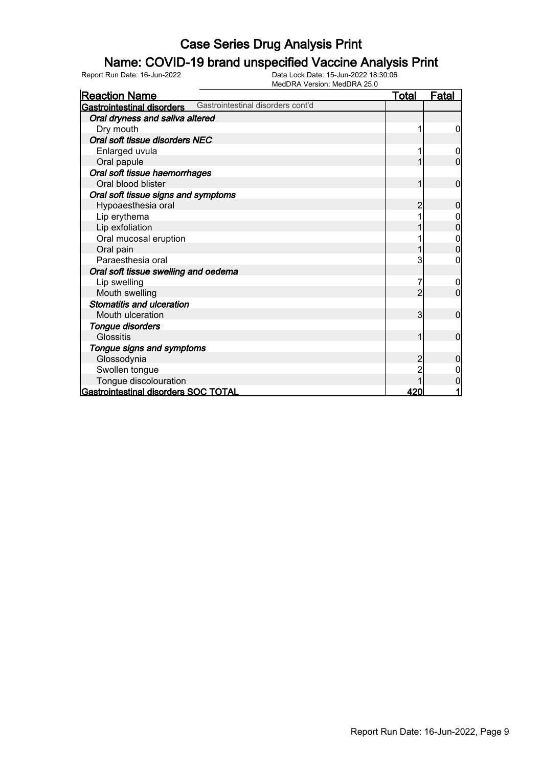#### Name: COVID-19 brand unspecified Vaccine Analysis Print

| <b>Reaction Name</b>                 |                                   | <u>Total</u>             | <u>Fatal</u>   |
|--------------------------------------|-----------------------------------|--------------------------|----------------|
| Gastrointestinal disorders           | Gastrointestinal disorders cont'd |                          |                |
| Oral dryness and saliva altered      |                                   |                          |                |
| Dry mouth                            |                                   |                          | 0              |
| Oral soft tissue disorders NEC       |                                   |                          |                |
| Enlarged uvula                       |                                   |                          | 0              |
| Oral papule                          |                                   |                          | $\overline{0}$ |
| Oral soft tissue haemorrhages        |                                   |                          |                |
| Oral blood blister                   |                                   |                          | 0              |
| Oral soft tissue signs and symptoms  |                                   |                          |                |
| Hypoaesthesia oral                   |                                   | 2                        | 0              |
| Lip erythema                         |                                   |                          |                |
| Lip exfoliation                      |                                   |                          | 0              |
| Oral mucosal eruption                |                                   |                          | 0              |
| Oral pain                            |                                   |                          | 0              |
| Paraesthesia oral                    |                                   | 3                        | 0              |
| Oral soft tissue swelling and oedema |                                   |                          |                |
| Lip swelling                         |                                   |                          | 0              |
| Mouth swelling                       |                                   | $\overline{\mathcal{L}}$ | $\overline{0}$ |
| <b>Stomatitis and ulceration</b>     |                                   |                          |                |
| Mouth ulceration                     |                                   | 3                        | $\mathbf 0$    |
| Tongue disorders                     |                                   |                          |                |
| <b>Glossitis</b>                     |                                   |                          | $\mathbf{0}$   |
| Tongue signs and symptoms            |                                   |                          |                |
| Glossodynia                          |                                   |                          | 0              |
| Swollen tongue                       |                                   |                          |                |
| Tongue discolouration                |                                   |                          | 0              |
| Gastrointestinal disorders SOC TOTAL |                                   | 420                      |                |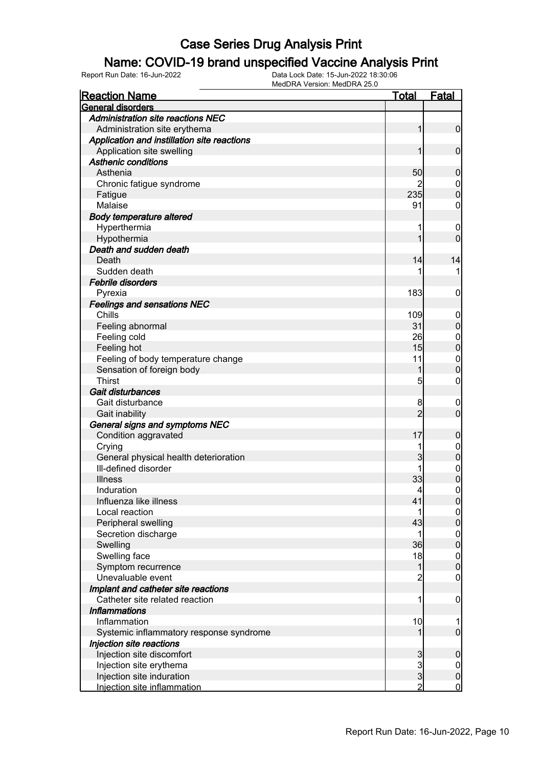#### Name: COVID-19 brand unspecified Vaccine Analysis Print

| <b>Reaction Name</b>                        | <u>Total</u>   | <b>Fatal</b>                         |
|---------------------------------------------|----------------|--------------------------------------|
| General disorders                           |                |                                      |
| <b>Administration site reactions NEC</b>    |                |                                      |
| Administration site erythema                | $\mathbf{1}$   | $\overline{0}$                       |
| Application and instillation site reactions |                |                                      |
| Application site swelling                   | 1              | $\mathbf 0$                          |
| <b>Asthenic conditions</b>                  |                |                                      |
| Asthenia                                    | 50             | $\mathbf 0$                          |
| Chronic fatigue syndrome                    |                |                                      |
| Fatigue                                     | 235            | $\begin{matrix} 0 \\ 0 \end{matrix}$ |
| Malaise                                     | 91             | 0                                    |
| <b>Body temperature altered</b>             |                |                                      |
| Hyperthermia                                | 1              | $\mathbf 0$                          |
| Hypothermia                                 | 1              | $\overline{0}$                       |
| Death and sudden death                      |                |                                      |
| Death                                       | 14             | 14                                   |
| Sudden death                                |                | 1                                    |
| <b>Febrile disorders</b>                    |                |                                      |
| Pyrexia                                     | 183            | 0                                    |
| <b>Feelings and sensations NEC</b>          |                |                                      |
| Chills                                      | 109            | $\mathbf 0$                          |
| Feeling abnormal                            | 31             | $\mathbf 0$                          |
| Feeling cold                                | 26             |                                      |
| Feeling hot                                 | 15             | $0\atop 0$                           |
| Feeling of body temperature change          | 11             |                                      |
| Sensation of foreign body                   | 1              | $\begin{matrix}0\\0\end{matrix}$     |
| <b>Thirst</b>                               | 5              | $\mathbf 0$                          |
| Gait disturbances                           |                |                                      |
| Gait disturbance                            | 8              |                                      |
|                                             | $\overline{2}$ | $\mathbf 0$<br>$\overline{0}$        |
| Gait inability                              |                |                                      |
| General signs and symptoms NEC              | 17             |                                      |
| Condition aggravated                        |                | $\mathbf 0$                          |
| Crying                                      | 1              | $0\atop 0$                           |
| General physical health deterioration       | 3              |                                      |
| Ill-defined disorder                        |                | $\mathbf{0}$                         |
| <b>Illness</b>                              | 33             | $\overline{0}$                       |
| Induration                                  | 4              | $\mathbf 0$                          |
| Influenza like illness                      | 41             | 0                                    |
| Local reaction                              | 1              | $\overline{0}$                       |
| Peripheral swelling                         | 43             | $\overline{0}$                       |
| Secretion discharge                         | 1              | $0\atop 0$                           |
| Swelling                                    | 36             |                                      |
| Swelling face                               | 18             | $\boldsymbol{0}$                     |
| Symptom recurrence                          | $\mathbf{1}$   | $\overline{0}$                       |
| Unevaluable event                           | $\overline{2}$ | $\pmb{0}$                            |
| Implant and catheter site reactions         |                |                                      |
| Catheter site related reaction              | 1              | $\mathbf 0$                          |
| <b>Inflammations</b>                        |                |                                      |
| Inflammation                                | 10             | 1                                    |
| Systemic inflammatory response syndrome     | 1              | $\overline{0}$                       |
| Injection site reactions                    |                |                                      |
| Injection site discomfort                   |                | $\boldsymbol{0}$                     |
| Injection site erythema                     | 3<br>ვ<br>ვ    | $\overline{0}$                       |
| Injection site induration                   |                | $\pmb{0}$                            |
| Injection site inflammation                 | $\overline{2}$ | $\overline{0}$                       |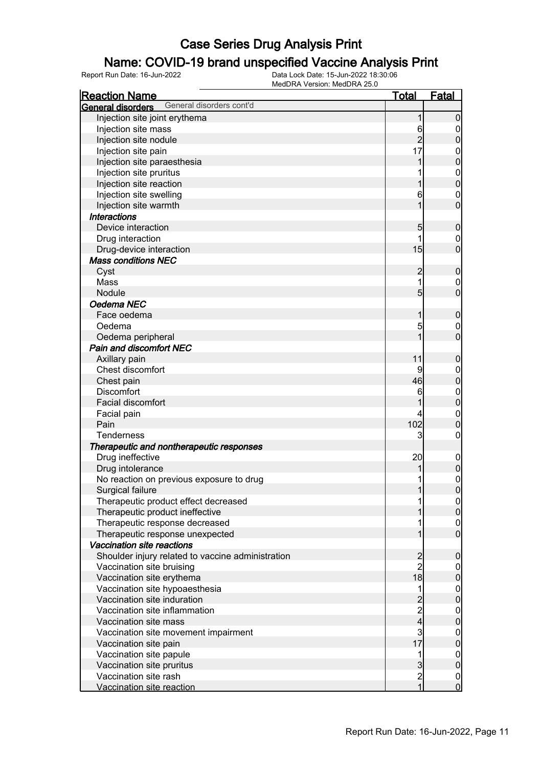#### Name: COVID-19 brand unspecified Vaccine Analysis Print

| <b>Reaction Name</b>                                 | <u>Total</u>            | Fatal               |
|------------------------------------------------------|-------------------------|---------------------|
| General disorders cont'd<br><b>General disorders</b> |                         |                     |
| Injection site joint erythema                        | 1                       | $\overline{0}$      |
| Injection site mass                                  | 6                       | 0                   |
| Injection site nodule                                | $\overline{2}$          | $\mathbf 0$         |
| Injection site pain                                  | 17                      | $\boldsymbol{0}$    |
| Injection site paraesthesia                          |                         | $\mathbf 0$         |
| Injection site pruritus                              |                         | $\mathbf 0$         |
| Injection site reaction                              |                         | $\mathbf 0$         |
| Injection site swelling                              | 6                       | $\mathbf 0$         |
| Injection site warmth                                |                         | $\mathbf 0$         |
| <b>Interactions</b>                                  |                         |                     |
| Device interaction                                   | 5                       | $\boldsymbol{0}$    |
| Drug interaction                                     |                         | 0                   |
| Drug-device interaction                              | 15                      | $\mathbf 0$         |
| <b>Mass conditions NEC</b>                           |                         |                     |
| Cyst                                                 | $\overline{2}$          | $\boldsymbol{0}$    |
| Mass                                                 | 1                       | 0                   |
| Nodule                                               | $5\overline{)}$         | $\mathbf 0$         |
| Oedema NEC                                           |                         |                     |
| Face oedema                                          |                         | $\boldsymbol{0}$    |
| Oedema                                               |                         |                     |
|                                                      | 5                       | 0<br>$\overline{0}$ |
| Oedema peripheral                                    |                         |                     |
| <b>Pain and discomfort NEC</b>                       |                         |                     |
| Axillary pain                                        | 11                      | $\boldsymbol{0}$    |
| Chest discomfort                                     | 9                       | $\mathbf 0$         |
| Chest pain                                           | 46                      | $\pmb{0}$           |
| <b>Discomfort</b>                                    | 6                       | $\boldsymbol{0}$    |
| <b>Facial discomfort</b>                             |                         | $\pmb{0}$           |
| Facial pain                                          |                         | $\mathbf 0$         |
| Pain                                                 | 102                     | $\mathbf 0$         |
| <b>Tenderness</b>                                    | 3                       | 0                   |
| Therapeutic and nontherapeutic responses             |                         |                     |
| Drug ineffective                                     | 20                      | $\mathbf 0$         |
| Drug intolerance                                     |                         | $\overline{0}$      |
| No reaction on previous exposure to drug             |                         | $\mathbf 0$         |
| <b>Surgical failure</b>                              | 1                       | $\overline{0}$      |
| Therapeutic product effect decreased                 |                         | 0                   |
| Therapeutic product ineffective                      |                         | 0                   |
| Therapeutic response decreased                       |                         | $\overline{0}$      |
| Therapeutic response unexpected                      |                         | $\overline{0}$      |
| Vaccination site reactions                           |                         |                     |
| Shoulder injury related to vaccine administration    | $\overline{c}$          | $\mathbf 0$         |
| Vaccination site bruising                            | $\overline{c}$          | $\overline{0}$      |
| Vaccination site erythema                            | 18                      | $\mathbf 0$         |
| Vaccination site hypoaesthesia                       | 1                       | $\mathbf 0$         |
| Vaccination site induration                          | $\overline{c}$          | $\mathbf 0$         |
| Vaccination site inflammation                        |                         | $\boldsymbol{0}$    |
| Vaccination site mass                                | $\frac{2}{4}$           | $\overline{0}$      |
| Vaccination site movement impairment                 | 3                       | $\overline{0}$      |
| Vaccination site pain                                | 17                      | $\pmb{0}$           |
| Vaccination site papule                              | 1                       | $\overline{0}$      |
| Vaccination site pruritus                            | $\overline{3}$          | $\pmb{0}$           |
| Vaccination site rash                                | $\overline{\mathbf{c}}$ | $\overline{0}$      |
| Vaccination site reaction                            | $\mathbf{1}$            | $\overline{0}$      |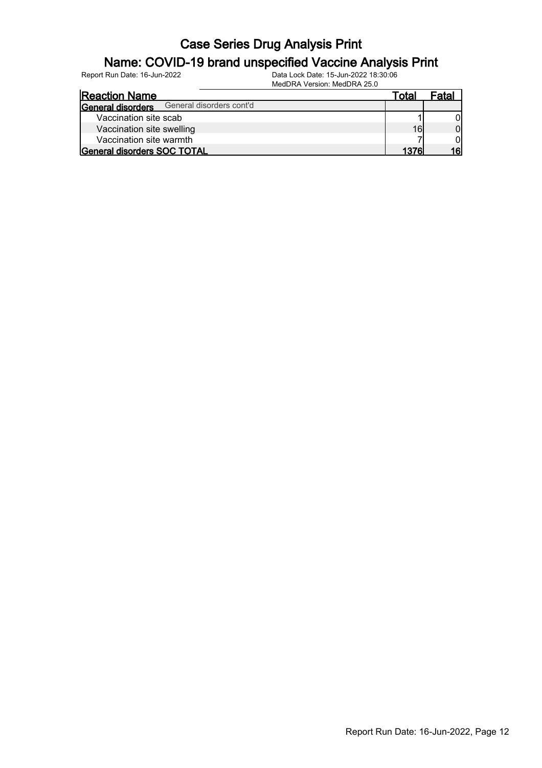#### Name: COVID-19 brand unspecified Vaccine Analysis Print

Report Run Date: 16-Jun-2022 Data Lock Date: 15-Jun-2022 18:30:06

MedDRA Version: MedDRA 25.0

| <b>Reaction Name</b>                          | Totaı | Fatal |
|-----------------------------------------------|-------|-------|
| General disorders cont'd<br>General disorders |       |       |
| Vaccination site scab                         |       |       |
| Vaccination site swelling                     | 16    | 01    |
| Vaccination site warmth                       |       |       |
| <b>General disorders SOC TOTAL</b>            | 1376I |       |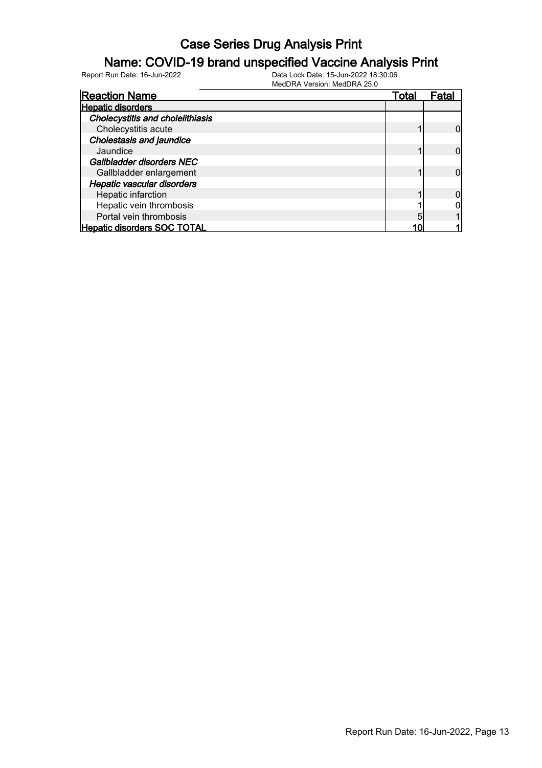#### Name: COVID-19 brand unspecified Vaccine Analysis Print

| <b>Reaction Name</b>                    | Total | Fatal |
|-----------------------------------------|-------|-------|
| <b>Hepatic disorders</b>                |       |       |
| <b>Cholecystitis and cholelithiasis</b> |       |       |
| Cholecystitis acute                     |       |       |
| <b>Cholestasis and jaundice</b>         |       |       |
| Jaundice                                |       |       |
| Gallbladder disorders NEC               |       |       |
| Gallbladder enlargement                 |       |       |
| Hepatic vascular disorders              |       |       |
| Hepatic infarction                      |       |       |
| Hepatic vein thrombosis                 |       |       |
| Portal vein thrombosis                  | 5     |       |
| <b>Hepatic disorders SOC TOTAL</b>      |       |       |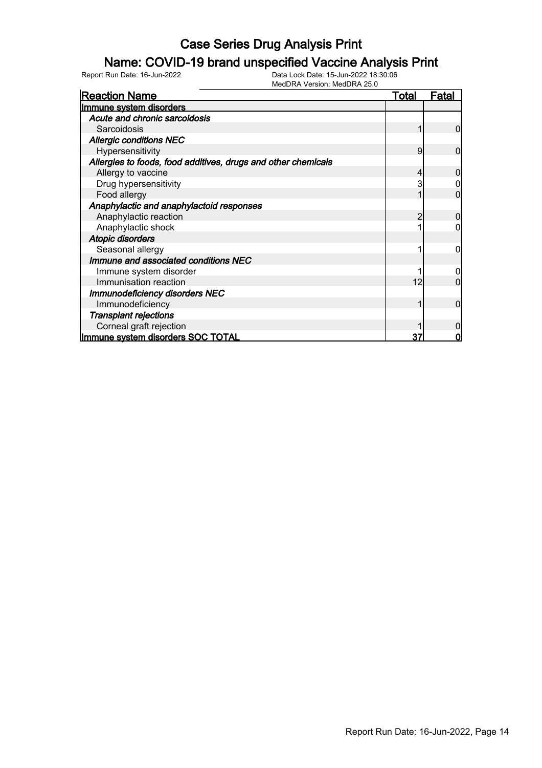### Name: COVID-19 brand unspecified Vaccine Analysis Print

| <b>Reaction Name</b>                                          | <u>Total</u> | Fatal |
|---------------------------------------------------------------|--------------|-------|
| Immune system disorders                                       |              |       |
| Acute and chronic sarcoidosis                                 |              |       |
| Sarcoidosis                                                   |              | 0     |
| <b>Allergic conditions NEC</b>                                |              |       |
| Hypersensitivity                                              | 9            | 0     |
| Allergies to foods, food additives, drugs and other chemicals |              |       |
| Allergy to vaccine                                            |              |       |
| Drug hypersensitivity                                         |              |       |
| Food allergy                                                  |              |       |
| Anaphylactic and anaphylactoid responses                      |              |       |
| Anaphylactic reaction                                         | 2            |       |
| Anaphylactic shock                                            |              |       |
| <b>Atopic disorders</b>                                       |              |       |
| Seasonal allergy                                              |              |       |
| Immune and associated conditions NEC                          |              |       |
| Immune system disorder                                        |              |       |
| Immunisation reaction                                         | 12           |       |
| <b>Immunodeficiency disorders NEC</b>                         |              |       |
| Immunodeficiency                                              |              | 0     |
| <b>Transplant rejections</b>                                  |              |       |
| Corneal graft rejection                                       |              |       |
| Immune system disorders SOC TOTAL                             | 37           | 0     |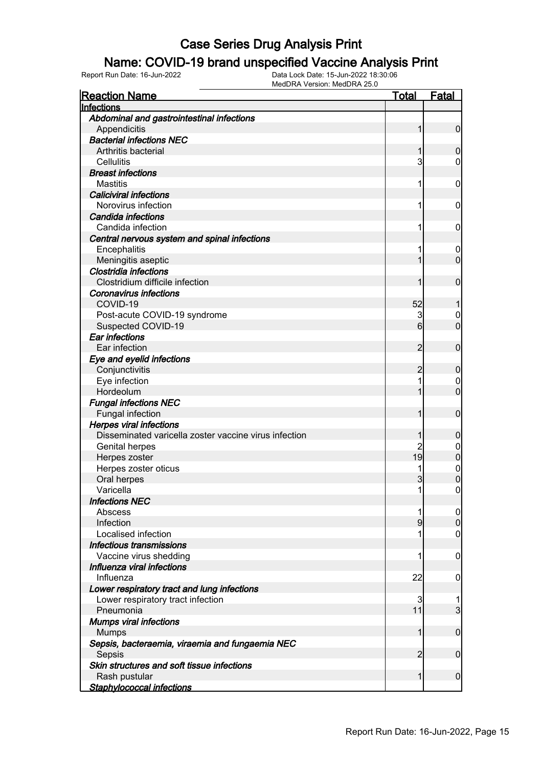#### Name: COVID-19 brand unspecified Vaccine Analysis Print

| <b>Reaction Name</b>                                  | <u>Total</u>   | <b>Fatal</b>     |
|-------------------------------------------------------|----------------|------------------|
| Infections                                            |                |                  |
| Abdominal and gastrointestinal infections             |                |                  |
| Appendicitis                                          | 1              | $\mathbf 0$      |
| <b>Bacterial infections NEC</b>                       |                |                  |
| Arthritis bacterial                                   | 1              | 0                |
| Cellulitis                                            | $\mathsf{3}$   | $\mathbf 0$      |
| <b>Breast infections</b>                              |                |                  |
| <b>Mastitis</b>                                       | 1              | 0                |
| <b>Caliciviral infections</b>                         |                |                  |
| Norovirus infection                                   | 1              | 0                |
| Candida infections                                    |                |                  |
| Candida infection                                     | 1              | 0                |
| Central nervous system and spinal infections          |                |                  |
| Encephalitis                                          | 1              | $\mathbf 0$      |
| Meningitis aseptic                                    | 1              | $\overline{0}$   |
| <b>Clostridia infections</b>                          |                |                  |
| Clostridium difficile infection                       | 1              | $\mathbf 0$      |
| <b>Coronavirus infections</b>                         |                |                  |
| COVID-19                                              | 52             | 1                |
| Post-acute COVID-19 syndrome                          | 3              | $\boldsymbol{0}$ |
| Suspected COVID-19                                    | 6              | $\overline{0}$   |
| <b>Ear infections</b>                                 |                |                  |
| Ear infection                                         | 2              | $\mathbf 0$      |
| Eye and eyelid infections                             |                |                  |
| Conjunctivitis                                        | 2              | $\boldsymbol{0}$ |
| Eye infection                                         | 1              | $\mathbf 0$      |
| Hordeolum                                             | 1              | $\overline{0}$   |
| <b>Fungal infections NEC</b>                          |                |                  |
| Fungal infection                                      | 1              | $\mathbf 0$      |
| <b>Herpes viral infections</b>                        |                |                  |
| Disseminated varicella zoster vaccine virus infection | 1              | $\boldsymbol{0}$ |
| Genital herpes                                        | $\overline{c}$ | 0                |
| Herpes zoster                                         | 19             | $\mathbf 0$      |
| Herpes zoster oticus                                  | 1              | $\mathbf{0}$     |
| Oral herpes                                           | 3              | $\mathbf 0$      |
| Varicella                                             | 1              | $\mathbf 0$      |
| <b>Infections NEC</b>                                 |                |                  |
| Abscess                                               | 1              | $\boldsymbol{0}$ |
| Infection<br>Localised infection                      | 9<br>1         | $\mathbf 0$      |
|                                                       |                | $\mathbf 0$      |
| Infectious transmissions                              | 1              |                  |
| Vaccine virus shedding<br>Influenza viral infections  |                | $\mathbf 0$      |
| Influenza                                             | 22             | $\mathbf 0$      |
| Lower respiratory tract and lung infections           |                |                  |
| Lower respiratory tract infection                     | 3              | 1                |
| Pneumonia                                             | 11             | 3                |
| <b>Mumps viral infections</b>                         |                |                  |
| <b>Mumps</b>                                          | 1              | $\mathbf 0$      |
| Sepsis, bacteraemia, viraemia and fungaemia NEC       |                |                  |
| Sepsis                                                | 2              | $\mathbf 0$      |
| Skin structures and soft tissue infections            |                |                  |
| Rash pustular                                         | $\mathbf{1}$   | $\mathbf 0$      |
| <b>Staphylococcal infections</b>                      |                |                  |
|                                                       |                |                  |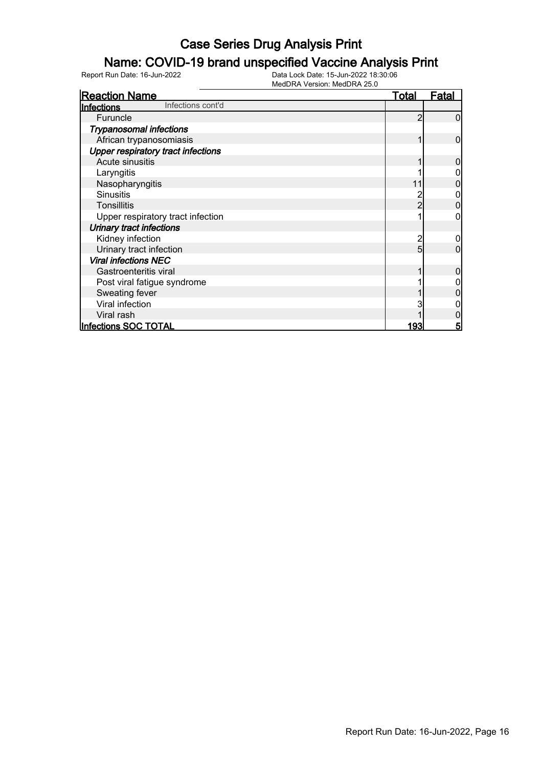### Name: COVID-19 brand unspecified Vaccine Analysis Print

| <b>Reaction Name</b>                      | Total | Fatal |
|-------------------------------------------|-------|-------|
| Infections cont'd<br>Infections           |       |       |
| Furuncle                                  | 2     |       |
| <b>Trypanosomal infections</b>            |       |       |
| African trypanosomiasis                   |       | 0     |
| <b>Upper respiratory tract infections</b> |       |       |
| Acute sinusitis                           |       | O     |
| Laryngitis                                |       |       |
| Nasopharyngitis                           | 11    |       |
| <b>Sinusitis</b>                          |       |       |
| <b>Tonsillitis</b>                        | 2     |       |
| Upper respiratory tract infection         |       |       |
| <b>Urinary tract infections</b>           |       |       |
| Kidney infection                          | 2     |       |
| Urinary tract infection                   | 5     | 0     |
| <b>Viral infections NEC</b>               |       |       |
| Gastroenteritis viral                     |       |       |
| Post viral fatigue syndrome               |       |       |
| Sweating fever                            |       |       |
| Viral infection                           |       |       |
| Viral rash                                |       |       |
| Infections SOC TOTAL                      | 193   | 5     |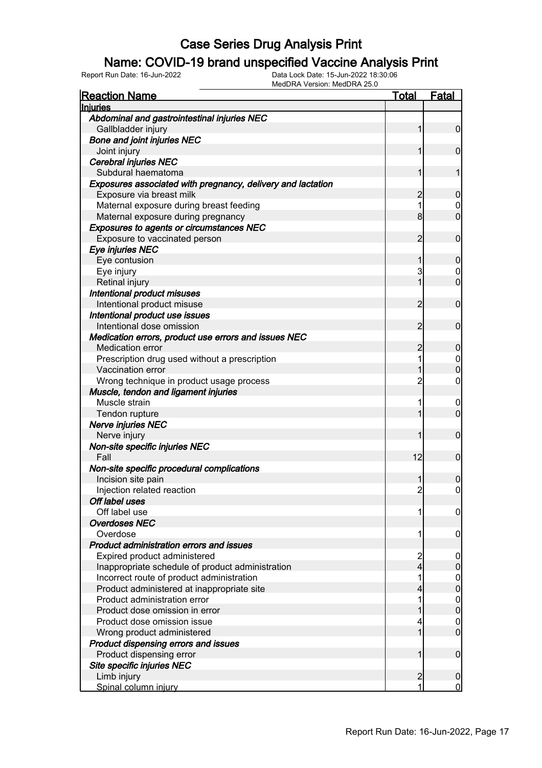#### Name: COVID-19 brand unspecified Vaccine Analysis Print

| <b>Reaction Name</b>                                        | <u>Total</u>   | <b>Fatal</b>                         |
|-------------------------------------------------------------|----------------|--------------------------------------|
| <b>Injuries</b>                                             |                |                                      |
| Abdominal and gastrointestinal injuries NEC                 |                |                                      |
| Gallbladder injury                                          | 1              | $\mathbf 0$                          |
| <b>Bone and joint injuries NEC</b>                          |                |                                      |
| Joint injury                                                | 1              | $\mathbf 0$                          |
| Cerebral injuries NEC                                       |                |                                      |
| Subdural haematoma                                          | 1              | 1                                    |
| Exposures associated with pregnancy, delivery and lactation |                |                                      |
| Exposure via breast milk                                    | $\overline{c}$ | $\mathbf 0$                          |
| Maternal exposure during breast feeding                     | 1              | $\mathbf 0$                          |
| Maternal exposure during pregnancy                          | 8              | $\overline{0}$                       |
| <b>Exposures to agents or circumstances NEC</b>             |                |                                      |
| Exposure to vaccinated person                               | $\overline{2}$ | $\mathbf 0$                          |
| Eye injuries NEC                                            |                |                                      |
| Eye contusion                                               | 1              | $\mathbf 0$                          |
| Eye injury                                                  | 3              | $\mathbf 0$                          |
| Retinal injury                                              | 1              | $\overline{0}$                       |
| Intentional product misuses                                 |                |                                      |
| Intentional product misuse                                  | $\overline{2}$ | $\mathbf 0$                          |
| Intentional product use issues                              |                |                                      |
| Intentional dose omission                                   | 2              | $\mathbf 0$                          |
| Medication errors, product use errors and issues NEC        |                |                                      |
| <b>Medication error</b>                                     | $\overline{c}$ | $\mathbf 0$                          |
| Prescription drug used without a prescription               | 1              |                                      |
| Vaccination error                                           | 1              | $\begin{matrix} 0 \\ 0 \end{matrix}$ |
| Wrong technique in product usage process                    | $\overline{2}$ | $\mathbf 0$                          |
| Muscle, tendon and ligament injuries                        |                |                                      |
| Muscle strain                                               | 1              | $\overline{0}$                       |
| Tendon rupture                                              | 1              | $\overline{0}$                       |
| Nerve injuries NEC                                          |                |                                      |
| Nerve injury                                                | 1              | $\mathbf 0$                          |
| Non-site specific injuries NEC                              |                |                                      |
| Fall                                                        | 12             | $\mathbf 0$                          |
| Non-site specific procedural complications                  |                |                                      |
| Incision site pain                                          | 1              | 0                                    |
| Injection related reaction                                  | $\overline{2}$ | 0                                    |
| Off label uses                                              |                |                                      |
| Off label use                                               | 1              | $\boldsymbol{0}$                     |
| <b>Overdoses NEC</b>                                        |                |                                      |
| Overdose                                                    | 1              | 0                                    |
| Product administration errors and issues                    |                |                                      |
| Expired product administered                                | $\overline{2}$ | 0                                    |
| Inappropriate schedule of product administration            | $\overline{4}$ | $\mathbf 0$                          |
| Incorrect route of product administration                   | 1              | $\mathbf{0}$                         |
| Product administered at inappropriate site                  | 4              | $\mathbf 0$                          |
| Product administration error                                | 1              | $\mathbf{0}$                         |
| Product dose omission in error                              | 1              | $\overline{0}$                       |
| Product dose omission issue                                 | 4              | $\mathbf 0$                          |
| Wrong product administered                                  | 1              | $\overline{0}$                       |
| Product dispensing errors and issues                        |                |                                      |
| Product dispensing error                                    | 1              | $\mathbf 0$                          |
| Site specific injuries NEC                                  |                |                                      |
| Limb injury                                                 | $\overline{2}$ | $\boldsymbol{0}$                     |
| Spinal column injury                                        | 1              | $\mathbf 0$                          |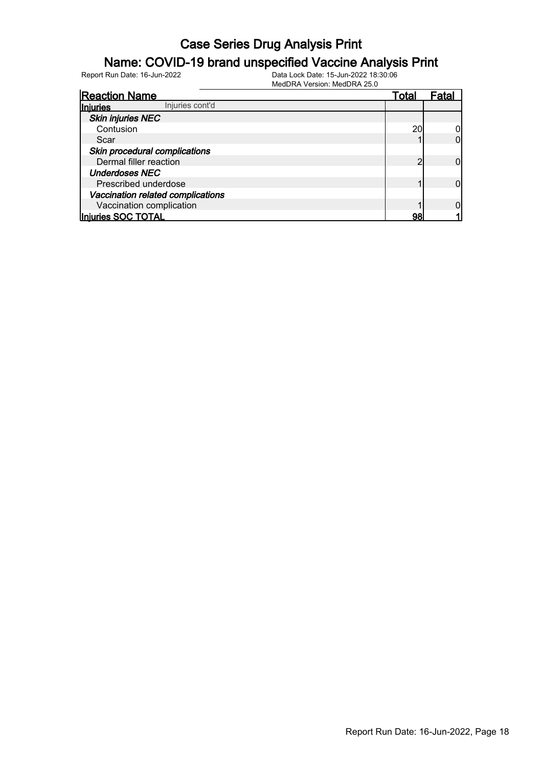#### Name: COVID-19 brand unspecified Vaccine Analysis Print

| <b>Reaction Name</b>               | Total | Fata |
|------------------------------------|-------|------|
| Injuries cont'd<br><b>Injuries</b> |       |      |
| <b>Skin injuries NEC</b>           |       |      |
| Contusion                          | 20    |      |
| Scar                               |       |      |
| Skin procedural complications      |       |      |
| Dermal filler reaction             | ⌒     |      |
| <b>Underdoses NEC</b>              |       |      |
| Prescribed underdose               |       |      |
| Vaccination related complications  |       |      |
| Vaccination complication           |       |      |
| Injuries SOC TOTAL                 | 98    |      |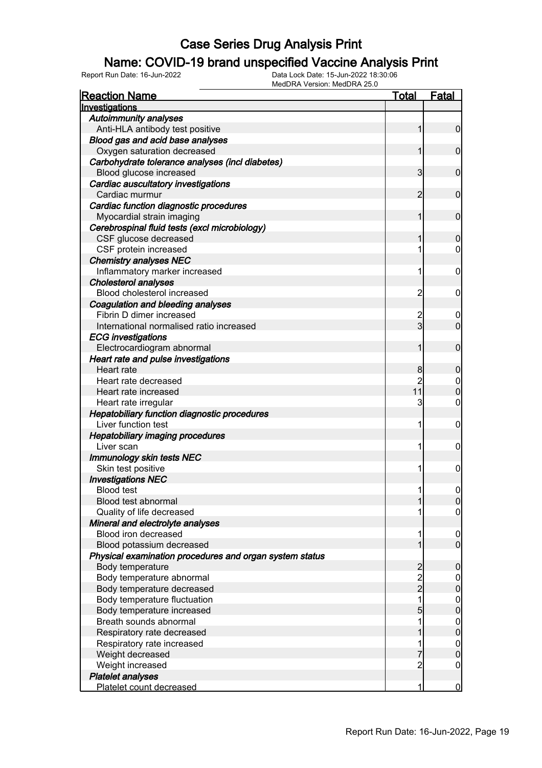### Name: COVID-19 brand unspecified Vaccine Analysis Print

| <b>Reaction Name</b>                                    | <u>Total</u>   | <b>Fatal</b>     |
|---------------------------------------------------------|----------------|------------------|
| Investigations                                          |                |                  |
| <b>Autoimmunity analyses</b>                            |                |                  |
| Anti-HLA antibody test positive                         | 1              | $\overline{0}$   |
| Blood gas and acid base analyses                        |                |                  |
| Oxygen saturation decreased                             | 1              | $\mathbf 0$      |
| Carbohydrate tolerance analyses (incl diabetes)         |                |                  |
| Blood glucose increased                                 | 3              | $\mathbf 0$      |
| Cardiac auscultatory investigations                     |                |                  |
| Cardiac murmur                                          | 2              | $\mathbf 0$      |
| Cardiac function diagnostic procedures                  |                |                  |
| Myocardial strain imaging                               | 1              | $\mathbf 0$      |
| Cerebrospinal fluid tests (excl microbiology)           |                |                  |
| CSF glucose decreased                                   | 1              | $\mathbf 0$      |
| CSF protein increased                                   | 1              | $\mathbf 0$      |
| <b>Chemistry analyses NEC</b>                           |                |                  |
| Inflammatory marker increased                           | 1              | $\mathbf 0$      |
| <b>Cholesterol analyses</b>                             |                |                  |
| Blood cholesterol increased                             | $\overline{c}$ | $\mathbf 0$      |
| Coagulation and bleeding analyses                       |                |                  |
| Fibrin D dimer increased                                | 2              | 0                |
| International normalised ratio increased                | 3              | $\mathbf 0$      |
| <b>ECG</b> investigations                               |                |                  |
| Electrocardiogram abnormal                              | 1              | $\mathbf 0$      |
| Heart rate and pulse investigations                     |                |                  |
| Heart rate                                              | 8              | $\mathbf 0$      |
| Heart rate decreased                                    | $\overline{2}$ | $\mathbf 0$      |
| Heart rate increased                                    | 11             | $\mathbf 0$      |
| Heart rate irregular                                    | 3              | 0                |
| Hepatobiliary function diagnostic procedures            |                |                  |
| Liver function test                                     | 1              | $\mathbf 0$      |
| <b>Hepatobiliary imaging procedures</b>                 |                |                  |
| Liver scan                                              | 1              | $\mathbf 0$      |
| <b>Immunology skin tests NEC</b>                        |                |                  |
| Skin test positive                                      | 1              | $\mathbf 0$      |
| <b>Investigations NEC</b>                               |                |                  |
| <b>Blood test</b>                                       | 11             | $\mathbf 0$      |
| Blood test abnormal                                     | 11             | $\overline{0}$   |
| Quality of life decreased                               |                | $\overline{0}$   |
| Mineral and electrolyte analyses                        |                |                  |
| Blood iron decreased                                    | 1              | $\boldsymbol{0}$ |
| Blood potassium decreased                               | 1              | $\overline{0}$   |
| Physical examination procedures and organ system status |                |                  |
| Body temperature                                        |                | $\boldsymbol{0}$ |
| Body temperature abnormal                               | 2<br>2<br>2    | $\boldsymbol{0}$ |
| Body temperature decreased                              |                | $\mathbf 0$      |
| Body temperature fluctuation                            | 1              | $\boldsymbol{0}$ |
| Body temperature increased                              | 5              | $\mathbf 0$      |
| Breath sounds abnormal                                  | 1              | $\boldsymbol{0}$ |
| Respiratory rate decreased                              |                | $\mathbf 0$      |
| Respiratory rate increased                              | 1              | $\boldsymbol{0}$ |
| Weight decreased                                        |                | $\mathbf 0$      |
| Weight increased                                        | $\overline{c}$ | $\mathbf 0$      |
| <b>Platelet analyses</b>                                |                |                  |
| Platelet count decreased                                | 1              | $\mathbf 0$      |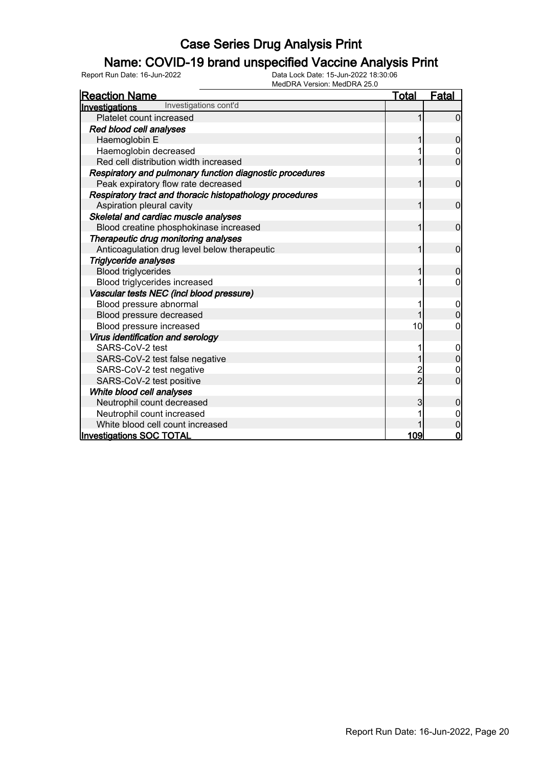### Name: COVID-19 brand unspecified Vaccine Analysis Print

Report Run Date: 16-Jun-2022 Data Lock Date: 15-Jun-2022 18:30:06

| MedDRA Version: MedDRA 25.0                              |                |                |
|----------------------------------------------------------|----------------|----------------|
| <b>Reaction Name</b>                                     | Total          | <b>Fatal</b>   |
| Investigations cont'd<br>Investigations                  |                |                |
| Platelet count increased                                 |                | $\Omega$       |
| Red blood cell analyses                                  |                |                |
| Haemoglobin E                                            |                | 0              |
| Haemoglobin decreased                                    |                | 0              |
| Red cell distribution width increased                    |                | $\overline{0}$ |
| Respiratory and pulmonary function diagnostic procedures |                |                |
| Peak expiratory flow rate decreased                      |                | $\overline{0}$ |
| Respiratory tract and thoracic histopathology procedures |                |                |
| Aspiration pleural cavity                                |                | $\overline{0}$ |
| Skeletal and cardiac muscle analyses                     |                |                |
| Blood creatine phosphokinase increased                   |                | $\overline{0}$ |
| Therapeutic drug monitoring analyses                     |                |                |
| Anticoagulation drug level below therapeutic             | 1              | $\overline{0}$ |
| Triglyceride analyses                                    |                |                |
| <b>Blood triglycerides</b>                               |                | 0              |
| Blood triglycerides increased                            |                | 0              |
| Vascular tests NEC (incl blood pressure)                 |                |                |
| Blood pressure abnormal                                  |                | 0              |
| Blood pressure decreased                                 |                |                |
| Blood pressure increased                                 | 10             | 0              |
| Virus identification and serology                        |                |                |
| SARS-CoV-2 test                                          |                | 0              |
| SARS-CoV-2 test false negative                           |                | 0              |
| SARS-CoV-2 test negative                                 |                | 0              |
| SARS-CoV-2 test positive                                 | $\overline{2}$ | $\overline{0}$ |
| White blood cell analyses                                |                |                |
| Neutrophil count decreased                               | 3              | 0              |
| Neutrophil count increased                               |                | 0              |
| White blood cell count increased                         |                | $\mathbf 0$    |
| <b>Investigations SOC TOTAL</b>                          | 109            | $\mathbf 0$    |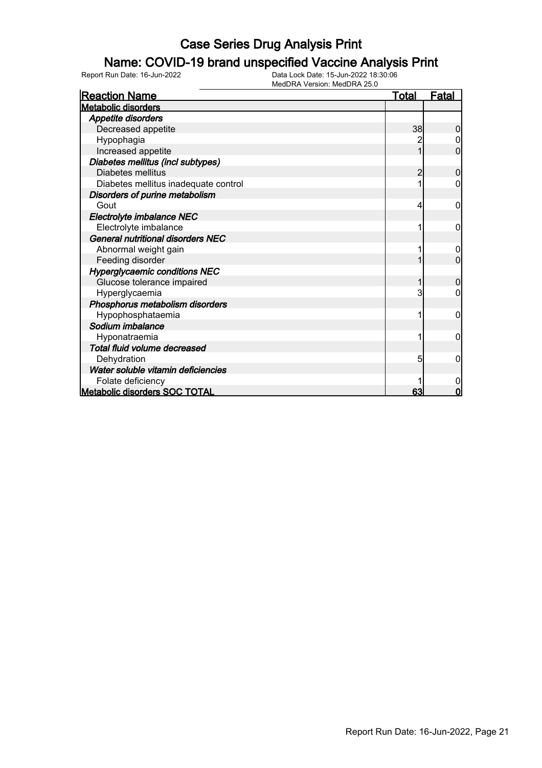### Name: COVID-19 brand unspecified Vaccine Analysis Print

| <b>Reaction Name</b>                     | <u>Total</u> | <b>Fatal</b>   |
|------------------------------------------|--------------|----------------|
| <b>Metabolic disorders</b>               |              |                |
| <b>Appetite disorders</b>                |              |                |
| Decreased appetite                       | 38           | 0              |
| Hypophagia                               | 2            | 0              |
| Increased appetite                       |              | 0              |
| Diabetes mellitus (incl subtypes)        |              |                |
| Diabetes mellitus                        | 2            | 0              |
| Diabetes mellitus inadequate control     |              |                |
| Disorders of purine metabolism           |              |                |
| Gout                                     | 4            | 0              |
| Electrolyte imbalance NEC                |              |                |
| Electrolyte imbalance                    |              | 0              |
| <b>General nutritional disorders NEC</b> |              |                |
| Abnormal weight gain                     |              | 0              |
| Feeding disorder                         |              | $\Omega$       |
| <b>Hyperglycaemic conditions NEC</b>     |              |                |
| Glucose tolerance impaired               |              | $\overline{0}$ |
| Hyperglycaemia                           | 3            |                |
| Phosphorus metabolism disorders          |              |                |
| Hypophosphataemia                        |              | 0              |
| Sodium imbalance                         |              |                |
| Hyponatraemia                            |              | 0              |
| Total fluid volume decreased             |              |                |
| Dehydration                              | 5            | 0              |
| Water soluble vitamin deficiencies       |              |                |
| Folate deficiency                        |              | 0              |
| <b>Metabolic disorders SOC TOTAL</b>     | 63           | $\Omega$       |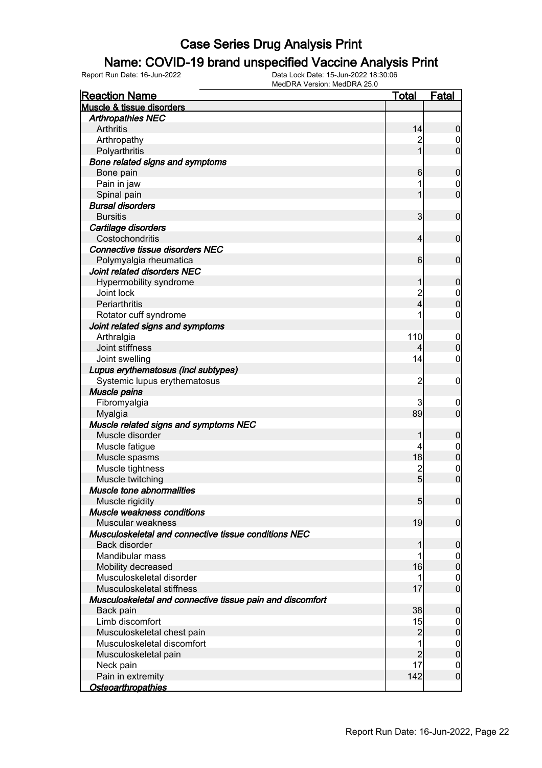#### Name: COVID-19 brand unspecified Vaccine Analysis Print

| <b>Reaction Name</b>                                      | <b>Total</b>   | <b>Fatal</b>     |
|-----------------------------------------------------------|----------------|------------------|
| <b>Muscle &amp; tissue disorders</b>                      |                |                  |
| <b>Arthropathies NEC</b>                                  |                |                  |
| <b>Arthritis</b>                                          | 14             | $\boldsymbol{0}$ |
| Arthropathy                                               |                | 0                |
| Polyarthritis                                             |                | $\mathbf 0$      |
| Bone related signs and symptoms                           |                |                  |
| Bone pain                                                 | 6              | $\mathbf 0$      |
| Pain in jaw                                               |                | 0                |
| Spinal pain                                               |                | $\mathbf 0$      |
| <b>Bursal disorders</b>                                   |                |                  |
| <b>Bursitis</b>                                           | 3              | $\mathbf 0$      |
| Cartilage disorders                                       |                |                  |
| Costochondritis                                           | 4              | $\mathbf 0$      |
| <b>Connective tissue disorders NEC</b>                    |                |                  |
| Polymyalgia rheumatica                                    | 6              | $\mathbf 0$      |
| Joint related disorders NEC                               |                |                  |
| Hypermobility syndrome                                    | 1              | $\mathbf 0$      |
| Joint lock                                                | 2<br>4         | $\boldsymbol{0}$ |
| Periarthritis                                             |                | $\mathbf 0$      |
| Rotator cuff syndrome                                     |                | $\mathbf 0$      |
| Joint related signs and symptoms                          |                |                  |
| Arthralgia                                                | 110            | $\mathbf 0$      |
| Joint stiffness                                           |                | $\mathbf 0$      |
| Joint swelling                                            | 14             | $\mathbf 0$      |
| Lupus erythematosus (incl subtypes)                       |                |                  |
| Systemic lupus erythematosus                              | $\overline{c}$ | $\mathbf 0$      |
| <b>Muscle pains</b>                                       |                |                  |
| Fibromyalgia                                              | 3              | $\mathbf 0$      |
| Myalgia                                                   | 89             | $\mathbf 0$      |
| Muscle related signs and symptoms NEC                     |                |                  |
| Muscle disorder                                           | 1              | $\mathbf 0$      |
| Muscle fatigue                                            | 4              | $\mathbf 0$      |
| Muscle spasms                                             | 18             | $\mathbf 0$      |
| Muscle tightness                                          | $\frac{2}{5}$  | $\mathbf 0$      |
| Muscle twitching                                          |                | $\overline{0}$   |
| Muscle tone abnormalities                                 |                |                  |
| Muscle rigidity                                           | 5 <sub>5</sub> | 0                |
| Muscle weakness conditions                                |                |                  |
| Muscular weakness                                         | 19             | $\mathbf 0$      |
| Musculoskeletal and connective tissue conditions NEC      |                |                  |
| Back disorder                                             | 1              | $\boldsymbol{0}$ |
| Mandibular mass                                           |                | $\overline{0}$   |
| Mobility decreased                                        | 16             | $\pmb{0}$        |
| Musculoskeletal disorder                                  | 1              | $\overline{0}$   |
| Musculoskeletal stiffness                                 | 17             | $\boldsymbol{0}$ |
| Musculoskeletal and connective tissue pain and discomfort |                |                  |
| Back pain                                                 | 38             | $\mathbf 0$      |
| Limb discomfort                                           | 15             | $\overline{0}$   |
| Musculoskeletal chest pain                                | $\overline{c}$ | $\pmb{0}$        |
| Musculoskeletal discomfort                                | 1              | $\overline{0}$   |
| Musculoskeletal pain                                      | $\overline{c}$ | $\pmb{0}$        |
| Neck pain                                                 | 17             | $\mathbf 0$      |
| Pain in extremity                                         | 142            | $\mathbf 0$      |
| Osteoarthropathies                                        |                |                  |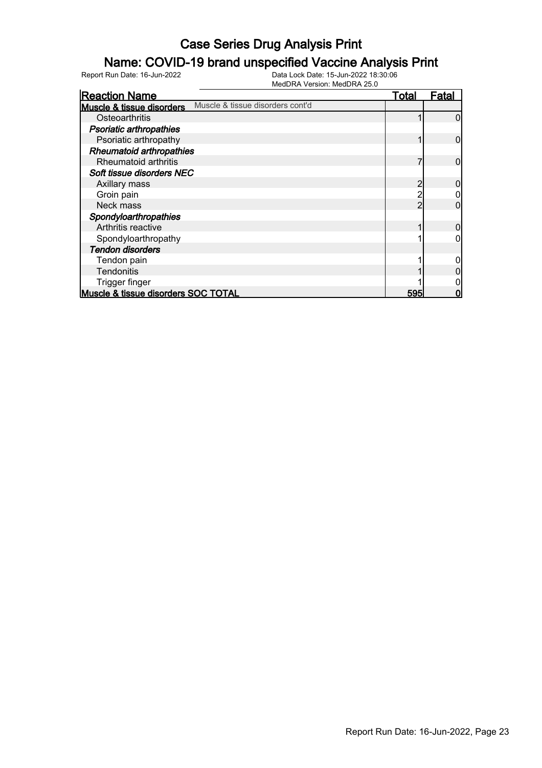### Name: COVID-19 brand unspecified Vaccine Analysis Print

| <b>Reaction Name</b>                 |                                  | <u>Total</u> | Fatal |
|--------------------------------------|----------------------------------|--------------|-------|
| <b>Muscle &amp; tissue disorders</b> | Muscle & tissue disorders cont'd |              |       |
|                                      |                                  |              |       |
| Osteoarthritis                       |                                  |              |       |
| <b>Psoriatic arthropathies</b>       |                                  |              |       |
| Psoriatic arthropathy                |                                  |              | 0     |
| <b>Rheumatoid arthropathies</b>      |                                  |              |       |
| <b>Rheumatoid arthritis</b>          |                                  |              | O     |
| Soft tissue disorders NEC            |                                  |              |       |
| Axillary mass                        |                                  | 2            |       |
| Groin pain                           |                                  |              |       |
| Neck mass                            |                                  |              |       |
| Spondyloarthropathies                |                                  |              |       |
| Arthritis reactive                   |                                  |              |       |
| Spondyloarthropathy                  |                                  |              |       |
| <b>Tendon disorders</b>              |                                  |              |       |
| Tendon pain                          |                                  |              |       |
| Tendonitis                           |                                  |              |       |
| Trigger finger                       |                                  |              |       |
| Muscle & tissue disorders SOC TOTAL  |                                  | 595          |       |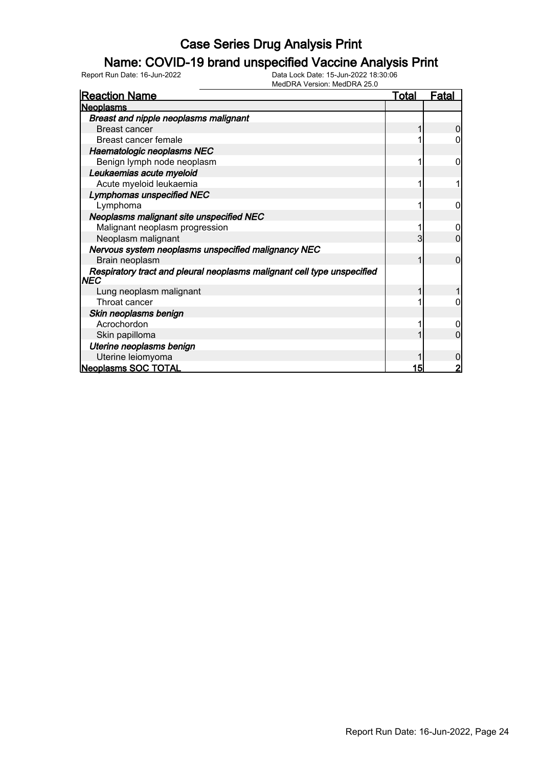#### Name: COVID-19 brand unspecified Vaccine Analysis Print

| <b>Reaction Name</b>                                                                  | <u>Total</u> | Fatal          |
|---------------------------------------------------------------------------------------|--------------|----------------|
| <b>Neoplasms</b>                                                                      |              |                |
| <b>Breast and nipple neoplasms malignant</b>                                          |              |                |
| <b>Breast cancer</b>                                                                  |              | $\Omega$       |
| Breast cancer female                                                                  |              |                |
| Haematologic neoplasms NEC                                                            |              |                |
| Benign lymph node neoplasm                                                            |              | 0              |
| Leukaemias acute myeloid                                                              |              |                |
| Acute myeloid leukaemia                                                               |              |                |
| <b>Lymphomas unspecified NEC</b>                                                      |              |                |
| Lymphoma                                                                              |              | 0              |
| <b>Neoplasms malignant site unspecified NEC</b>                                       |              |                |
| Malignant neoplasm progression                                                        |              |                |
| Neoplasm malignant                                                                    | 3            | 0              |
| Nervous system neoplasms unspecified malignancy NEC                                   |              |                |
| Brain neoplasm                                                                        |              | $\overline{0}$ |
| Respiratory tract and pleural neoplasms malignant cell type unspecified<br><b>NEC</b> |              |                |
| Lung neoplasm malignant                                                               |              |                |
| Throat cancer                                                                         |              | 0              |
| Skin neoplasms benign                                                                 |              |                |
| Acrochordon                                                                           |              | 0              |
| Skin papilloma                                                                        |              | ი              |
| Uterine neoplasms benign                                                              |              |                |
| Uterine leiomyoma                                                                     |              | 0              |
| <b>Neoplasms SOC TOTAL</b>                                                            | 15           | 2              |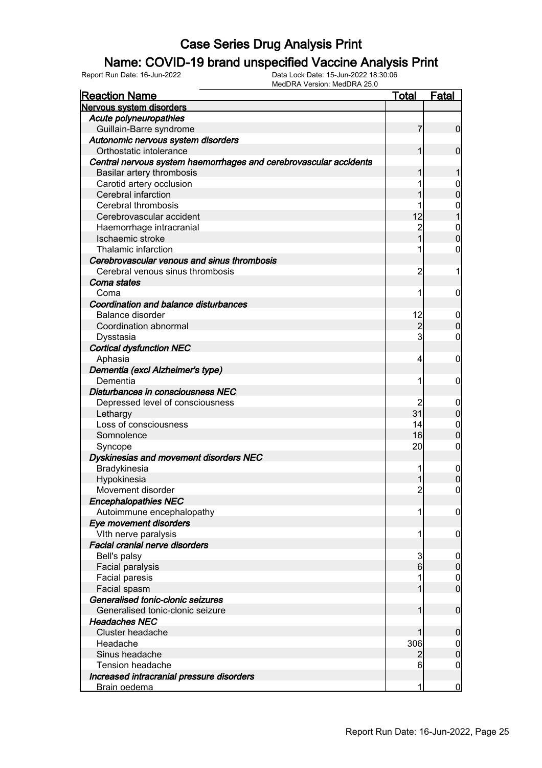### Name: COVID-19 brand unspecified Vaccine Analysis Print

Report Run Date: 16-Jun-2022 Data Lock Date: 15-Jun-2022 18:30:06

| Fatal<br><u>Reaction Name</u><br><u>Total</u><br><b>Nervous system disorders</b><br>Acute polyneuropathies<br>7<br>Guillain-Barre syndrome<br>Autonomic nervous system disorders<br>Orthostatic intolerance<br>1<br>Central nervous system haemorrhages and cerebrovascular accidents<br>Basilar artery thrombosis<br>1 | $\overline{0}$<br>$\overline{0}$<br>1<br>$\overline{0}$<br>$\mathbf 0$ |
|-------------------------------------------------------------------------------------------------------------------------------------------------------------------------------------------------------------------------------------------------------------------------------------------------------------------------|------------------------------------------------------------------------|
|                                                                                                                                                                                                                                                                                                                         |                                                                        |
|                                                                                                                                                                                                                                                                                                                         |                                                                        |
|                                                                                                                                                                                                                                                                                                                         |                                                                        |
|                                                                                                                                                                                                                                                                                                                         |                                                                        |
|                                                                                                                                                                                                                                                                                                                         |                                                                        |
|                                                                                                                                                                                                                                                                                                                         |                                                                        |
|                                                                                                                                                                                                                                                                                                                         |                                                                        |
|                                                                                                                                                                                                                                                                                                                         |                                                                        |
| Carotid artery occlusion                                                                                                                                                                                                                                                                                                |                                                                        |
| Cerebral infarction                                                                                                                                                                                                                                                                                                     |                                                                        |
| Cerebral thrombosis                                                                                                                                                                                                                                                                                                     |                                                                        |
| 12<br>Cerebrovascular accident                                                                                                                                                                                                                                                                                          | $\begin{matrix} 0 \\ 1 \end{matrix}$                                   |
| $\overline{c}$<br>Haemorrhage intracranial                                                                                                                                                                                                                                                                              | $\boldsymbol{0}$                                                       |
| $\overline{1}$<br>Ischaemic stroke                                                                                                                                                                                                                                                                                      | $\overline{0}$                                                         |
| Thalamic infarction<br>1                                                                                                                                                                                                                                                                                                | $\boldsymbol{0}$                                                       |
| Cerebrovascular venous and sinus thrombosis                                                                                                                                                                                                                                                                             |                                                                        |
| Cerebral venous sinus thrombosis<br>$\overline{c}$                                                                                                                                                                                                                                                                      | 1                                                                      |
| Coma states                                                                                                                                                                                                                                                                                                             |                                                                        |
| 1<br>Coma                                                                                                                                                                                                                                                                                                               | $\mathbf 0$                                                            |
| Coordination and balance disturbances                                                                                                                                                                                                                                                                                   |                                                                        |
| <b>Balance disorder</b><br>12                                                                                                                                                                                                                                                                                           | $\overline{0}$                                                         |
| $\overline{c}$<br>Coordination abnormal                                                                                                                                                                                                                                                                                 | $\mathbf 0$                                                            |
| 3<br>Dysstasia                                                                                                                                                                                                                                                                                                          | $\mathbf 0$                                                            |
| <b>Cortical dysfunction NEC</b>                                                                                                                                                                                                                                                                                         |                                                                        |
| Aphasia<br>4                                                                                                                                                                                                                                                                                                            | $\mathbf 0$                                                            |
| Dementia (excl Alzheimer's type)                                                                                                                                                                                                                                                                                        |                                                                        |
| Dementia<br>1                                                                                                                                                                                                                                                                                                           | $\mathbf 0$                                                            |
| Disturbances in consciousness NEC                                                                                                                                                                                                                                                                                       |                                                                        |
| $\overline{c}$<br>Depressed level of consciousness                                                                                                                                                                                                                                                                      | $\overline{0}$                                                         |
| 31<br>Lethargy                                                                                                                                                                                                                                                                                                          | $\overline{0}$                                                         |
| Loss of consciousness<br>14                                                                                                                                                                                                                                                                                             | $\mathbf 0$                                                            |
| 16<br>Somnolence                                                                                                                                                                                                                                                                                                        | $\mathbf 0$                                                            |
| 20<br>Syncope                                                                                                                                                                                                                                                                                                           | $\boldsymbol{0}$                                                       |
| Dyskinesias and movement disorders NEC                                                                                                                                                                                                                                                                                  |                                                                        |
| Bradykinesia                                                                                                                                                                                                                                                                                                            | $\overline{0}$                                                         |
| Hypokinesia<br>1                                                                                                                                                                                                                                                                                                        | $\mathbf 0$                                                            |
| $\overline{c}$<br>Movement disorder                                                                                                                                                                                                                                                                                     | $\overline{0}$                                                         |
| <b>Encephalopathies NEC</b>                                                                                                                                                                                                                                                                                             |                                                                        |
| Autoimmune encephalopathy<br>1                                                                                                                                                                                                                                                                                          | $\boldsymbol{0}$                                                       |
| Eye movement disorders                                                                                                                                                                                                                                                                                                  |                                                                        |
| VIth nerve paralysis<br>1                                                                                                                                                                                                                                                                                               | $\boldsymbol{0}$                                                       |
| <b>Facial cranial nerve disorders</b>                                                                                                                                                                                                                                                                                   |                                                                        |
| 3<br>Bell's palsy                                                                                                                                                                                                                                                                                                       | $\boldsymbol{0}$                                                       |
| 6<br>Facial paralysis                                                                                                                                                                                                                                                                                                   | $\mathbf 0$                                                            |
| Facial paresis                                                                                                                                                                                                                                                                                                          | 0                                                                      |
| Facial spasm                                                                                                                                                                                                                                                                                                            | $\overline{0}$                                                         |
| Generalised tonic-clonic seizures                                                                                                                                                                                                                                                                                       |                                                                        |
| Generalised tonic-clonic seizure                                                                                                                                                                                                                                                                                        | $\overline{0}$                                                         |
| <b>Headaches NEC</b>                                                                                                                                                                                                                                                                                                    |                                                                        |
| <b>Cluster headache</b>                                                                                                                                                                                                                                                                                                 | $\mathbf 0$                                                            |
| 306<br>Headache                                                                                                                                                                                                                                                                                                         | 0                                                                      |
| Sinus headache<br>2                                                                                                                                                                                                                                                                                                     | $\mathbf 0$                                                            |
| <b>Tension headache</b><br>6                                                                                                                                                                                                                                                                                            | 0                                                                      |
| Increased intracranial pressure disorders                                                                                                                                                                                                                                                                               |                                                                        |
| 1<br><b>Brain oedema</b>                                                                                                                                                                                                                                                                                                | $\overline{0}$                                                         |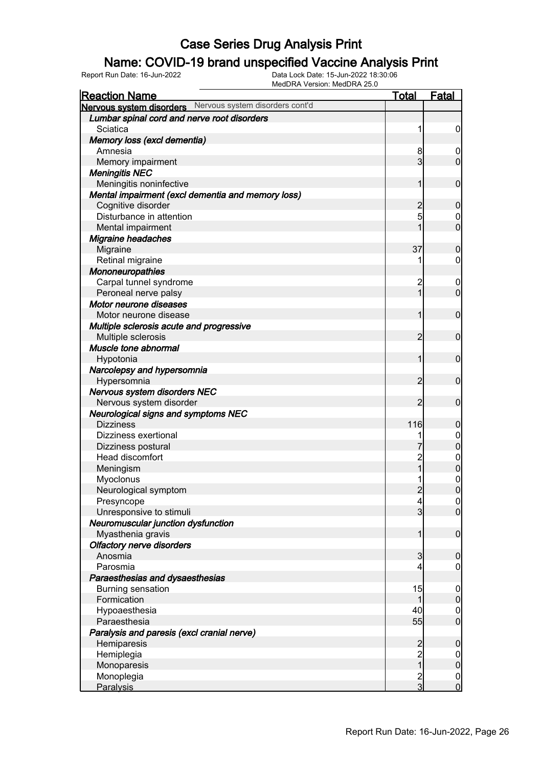#### Name: COVID-19 brand unspecified Vaccine Analysis Print

| <b>Reaction Name</b>                                     | Total          | <b>Fatal</b>     |
|----------------------------------------------------------|----------------|------------------|
| Nervous system disorders Nervous system disorders cont'd |                |                  |
| Lumbar spinal cord and nerve root disorders              |                |                  |
| Sciatica                                                 | 1              | $\mathbf 0$      |
| Memory loss (excl dementia)                              |                |                  |
| Amnesia                                                  | 8              | $\boldsymbol{0}$ |
| Memory impairment                                        | 3              | $\mathbf 0$      |
| <b>Meningitis NEC</b>                                    |                |                  |
| Meningitis noninfective                                  | 1              | $\mathbf 0$      |
| Mental impairment (excl dementia and memory loss)        |                |                  |
| Cognitive disorder                                       | $\overline{c}$ | $\mathbf 0$      |
| Disturbance in attention                                 | 5              | 0                |
| Mental impairment                                        |                | $\overline{0}$   |
| <b>Migraine headaches</b>                                |                |                  |
| Migraine                                                 | 37             | $\boldsymbol{0}$ |
| Retinal migraine                                         |                | 0                |
| Mononeuropathies                                         |                |                  |
| Carpal tunnel syndrome                                   | $\overline{c}$ | $\mathbf 0$      |
| Peroneal nerve palsy                                     | 1              | $\mathbf 0$      |
| Motor neurone diseases                                   |                |                  |
| Motor neurone disease                                    | 1              | $\mathbf 0$      |
| Multiple sclerosis acute and progressive                 |                |                  |
| Multiple sclerosis                                       | $\overline{2}$ | $\mathbf 0$      |
| Muscle tone abnormal                                     |                |                  |
| Hypotonia                                                | 1              | $\mathbf 0$      |
| Narcolepsy and hypersomnia                               |                |                  |
| Hypersomnia                                              | $\overline{2}$ | $\mathbf 0$      |
| Nervous system disorders NEC                             |                |                  |
| Nervous system disorder                                  | 2              | $\mathbf 0$      |
| <b>Neurological signs and symptoms NEC</b>               |                |                  |
| <b>Dizziness</b>                                         | 116            | $\mathbf 0$      |
| Dizziness exertional                                     |                | $\boldsymbol{0}$ |
| Dizziness postural                                       |                | $\overline{0}$   |
| Head discomfort                                          |                | $0\atop 0$       |
| Meningism                                                |                |                  |
| Myoclonus                                                |                | $\mathbf{0}$     |
| Neurological symptom                                     | $\overline{2}$ | $\overline{0}$   |
| Presyncope                                               | 4              | 0                |
| Unresponsive to stimuli                                  | $\overline{3}$ | $\overline{0}$   |
| Neuromuscular junction dysfunction                       |                |                  |
| Myasthenia gravis                                        | 1              | $\mathbf 0$      |
| <b>Olfactory nerve disorders</b>                         |                |                  |
| Anosmia                                                  | 3              | $\boldsymbol{0}$ |
| Parosmia                                                 | 4              | $\mathbf 0$      |
| Paraesthesias and dysaesthesias                          |                |                  |
| <b>Burning sensation</b>                                 | 15             | $\mathbf 0$      |
| Formication                                              | 1              | $\boldsymbol{0}$ |
| Hypoaesthesia                                            | 40             | $\overline{0}$   |
| Paraesthesia                                             | 55             | $\overline{0}$   |
| Paralysis and paresis (excl cranial nerve)               |                |                  |
| Hemiparesis                                              | $\overline{c}$ | $\boldsymbol{0}$ |
| Hemiplegia                                               | $\frac{2}{1}$  | $\mathbf 0$      |
| Monoparesis                                              |                | $\pmb{0}$        |
| Monoplegia                                               | $\frac{2}{3}$  | $\boldsymbol{0}$ |
| Paralysis                                                |                | $\overline{0}$   |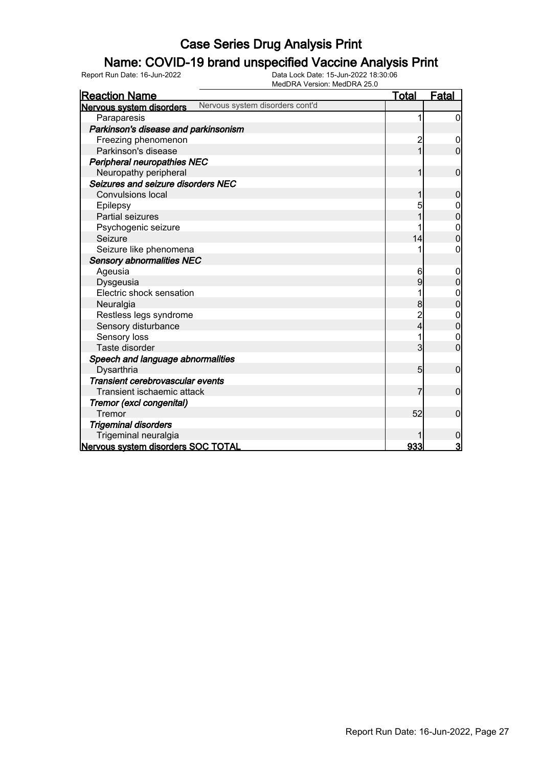#### Name: COVID-19 brand unspecified Vaccine Analysis Print

| <b>Reaction Name</b>                                        | <u>Total</u>   | <b>Fatal</b>     |
|-------------------------------------------------------------|----------------|------------------|
| Nervous system disorders cont'd<br>Nervous system disorders |                |                  |
| Paraparesis                                                 |                | 0                |
| Parkinson's disease and parkinsonism                        |                |                  |
| Freezing phenomenon                                         | $\overline{c}$ | $\boldsymbol{0}$ |
| Parkinson's disease                                         | $\overline{1}$ | $\overline{0}$   |
| Peripheral neuropathies NEC                                 |                |                  |
| Neuropathy peripheral                                       | 1              | $\mathbf 0$      |
| Seizures and seizure disorders NEC                          |                |                  |
| <b>Convulsions local</b>                                    |                | 0                |
| Epilepsy                                                    | 5              |                  |
| <b>Partial seizures</b>                                     |                | 0                |
| Psychogenic seizure                                         |                | $\boldsymbol{0}$ |
| Seizure                                                     | 14             | $\overline{0}$   |
| Seizure like phenomena                                      |                | 0                |
| <b>Sensory abnormalities NEC</b>                            |                |                  |
| Ageusia                                                     | 6              | 0                |
| Dysgeusia                                                   | 9              | $\overline{0}$   |
| Electric shock sensation                                    |                |                  |
| Neuralgia                                                   | 8              | 0                |
| Restless legs syndrome                                      | $\overline{2}$ | $\mathbf 0$      |
| Sensory disturbance                                         | 4              | $\mathbf 0$      |
| Sensory loss                                                |                | 0                |
| Taste disorder                                              | 3              | $\overline{0}$   |
| Speech and language abnormalities                           |                |                  |
| Dysarthria                                                  | 5              | $\mathbf 0$      |
| Transient cerebrovascular events                            |                |                  |
| Transient ischaemic attack                                  |                | $\mathbf 0$      |
| Tremor (excl congenital)                                    |                |                  |
| Tremor                                                      | 52             | $\mathbf 0$      |
| <b>Trigeminal disorders</b>                                 |                |                  |
| Trigeminal neuralgia                                        |                | 0                |
| Nervous system disorders SOC TOTAL                          | 933            | 3                |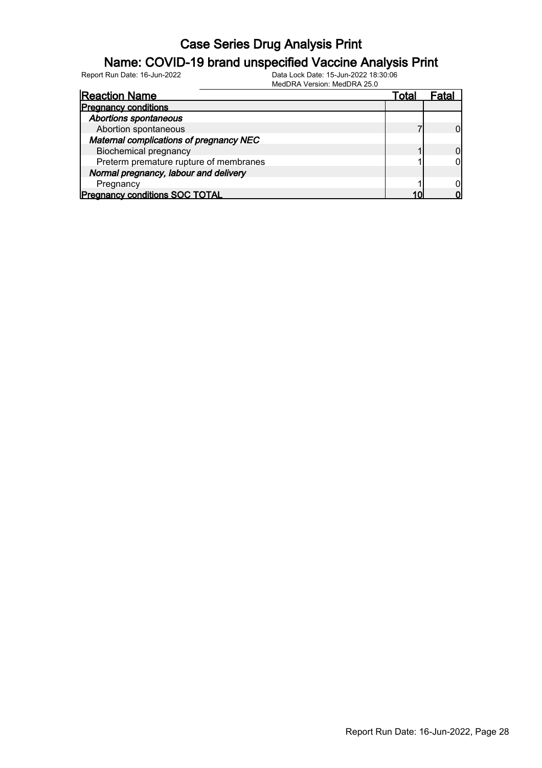### Name: COVID-19 brand unspecified Vaccine Analysis Print

Report Run Date: 16-Jun-2022 Data Lock Date: 15-Jun-2022 18:30:06

MedDRA Version: MedDRA 25.0

| <b>Reaction Name</b>                    | Total |  |
|-----------------------------------------|-------|--|
| <b>Pregnancy conditions</b>             |       |  |
| <b>Abortions spontaneous</b>            |       |  |
| Abortion spontaneous                    |       |  |
| Maternal complications of pregnancy NEC |       |  |
| <b>Biochemical pregnancy</b>            |       |  |
| Preterm premature rupture of membranes  |       |  |
| Normal pregnancy, labour and delivery   |       |  |
| Pregnancy                               |       |  |
| <b>Pregnancy conditions SOC TOTAL</b>   |       |  |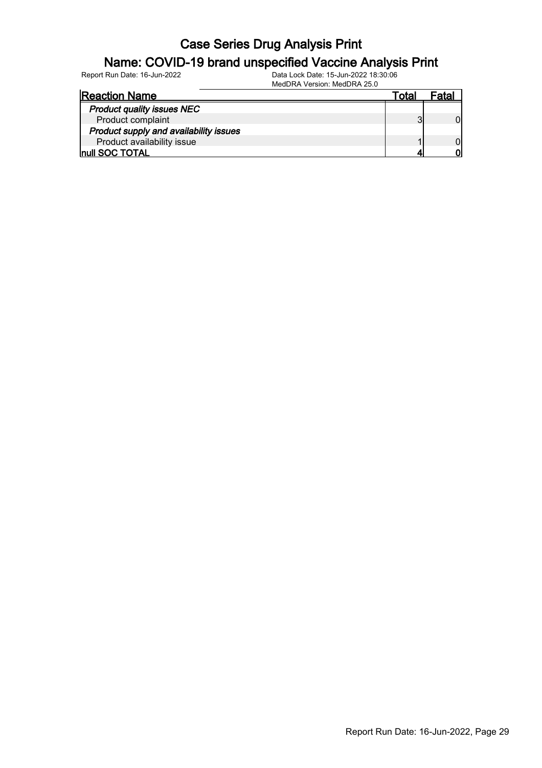#### Name: COVID-19 brand unspecified Vaccine Analysis Print

| <b>Reaction Name</b>                   | ota |  |
|----------------------------------------|-----|--|
| <b>Product quality issues NEC</b>      |     |  |
| Product complaint                      |     |  |
| Product supply and availability issues |     |  |
| Product availability issue             |     |  |
| <b>Inull SOC TOTAL</b>                 |     |  |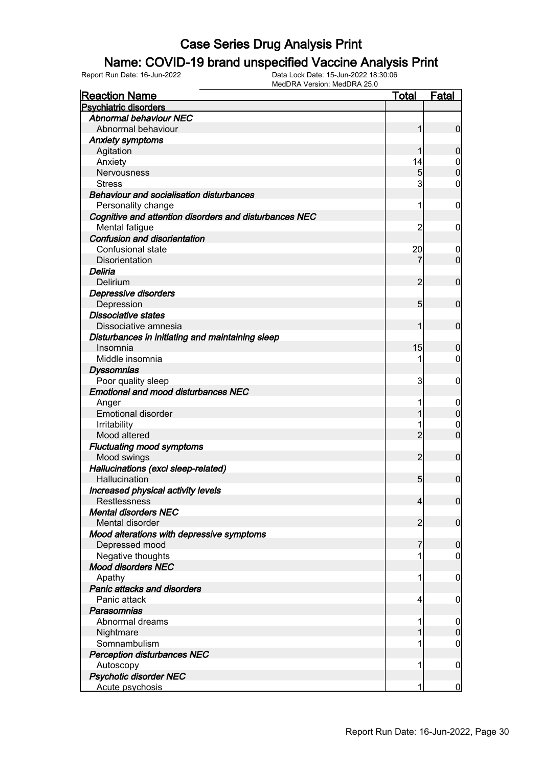### Name: COVID-19 brand unspecified Vaccine Analysis Print

| <b>Reaction Name</b>                                   | <b>Total</b>   | <b>Fatal</b>     |
|--------------------------------------------------------|----------------|------------------|
| <b>Psychiatric disorders</b>                           |                |                  |
| <b>Abnormal behaviour NEC</b>                          |                |                  |
| Abnormal behaviour                                     |                | $\overline{0}$   |
| <b>Anxiety symptoms</b>                                |                |                  |
| Agitation                                              |                | $\overline{0}$   |
| Anxiety                                                | 14             | $\boldsymbol{0}$ |
| Nervousness                                            | 5 <sub>l</sub> | $\mathbf 0$      |
| <b>Stress</b>                                          | 3              | 0                |
| <b>Behaviour and socialisation disturbances</b>        |                |                  |
| Personality change                                     | 1              | $\mathbf 0$      |
| Cognitive and attention disorders and disturbances NEC |                |                  |
| Mental fatigue                                         | $\overline{c}$ | $\mathbf 0$      |
| <b>Confusion and disorientation</b>                    |                |                  |
| Confusional state                                      | 20             | 0                |
| Disorientation                                         | 7              | $\mathbf 0$      |
| Deliria                                                |                |                  |
| Delirium                                               | $\overline{2}$ | $\mathbf 0$      |
| Depressive disorders                                   |                |                  |
| Depression                                             | 5 <sub>5</sub> | $\mathbf 0$      |
| <b>Dissociative states</b>                             |                |                  |
| Dissociative amnesia                                   | 1              | $\mathbf 0$      |
| Disturbances in initiating and maintaining sleep       |                |                  |
| Insomnia                                               | 15             | $\boldsymbol{0}$ |
| Middle insomnia                                        |                | 0                |
| <b>Dyssomnias</b>                                      |                |                  |
| Poor quality sleep                                     | 3              | $\mathbf 0$      |
| <b>Emotional and mood disturbances NEC</b>             |                |                  |
| Anger                                                  |                | $\mathbf 0$      |
| <b>Emotional disorder</b>                              |                | $\overline{0}$   |
| Irritability                                           |                | 0                |
| Mood altered                                           | $\overline{2}$ | $\mathbf 0$      |
| <b>Fluctuating mood symptoms</b>                       |                |                  |
| Mood swings                                            | $\overline{2}$ | $\mathbf 0$      |
| Hallucinations (excl sleep-related)                    |                |                  |
| Hallucination                                          | 5 <sub>5</sub> | $\mathbf 0$      |
|                                                        |                |                  |
| Increased physical activity levels<br>Restlessness     |                |                  |
| <b>Mental disorders NEC</b>                            | 4              | 0                |
|                                                        |                |                  |
| Mental disorder                                        | $\overline{2}$ | $\overline{0}$   |
| Mood alterations with depressive symptoms              |                |                  |
| Depressed mood                                         | 7              | $\mathbf 0$      |
| Negative thoughts                                      |                | 0                |
| <b>Mood disorders NEC</b>                              |                |                  |
| Apathy                                                 |                | $\mathbf 0$      |
| Panic attacks and disorders                            |                |                  |
| Panic attack                                           | 4              | $\mathbf 0$      |
| Parasomnias                                            |                |                  |
| Abnormal dreams                                        |                | $\mathbf 0$      |
| Nightmare                                              |                | $\mathbf 0$      |
| Somnambulism                                           |                | 0                |
| <b>Perception disturbances NEC</b>                     |                |                  |
| Autoscopy                                              | 1              | $\mathbf 0$      |
| <b>Psychotic disorder NEC</b>                          |                |                  |
| Acute psychosis                                        | 1              | $\overline{0}$   |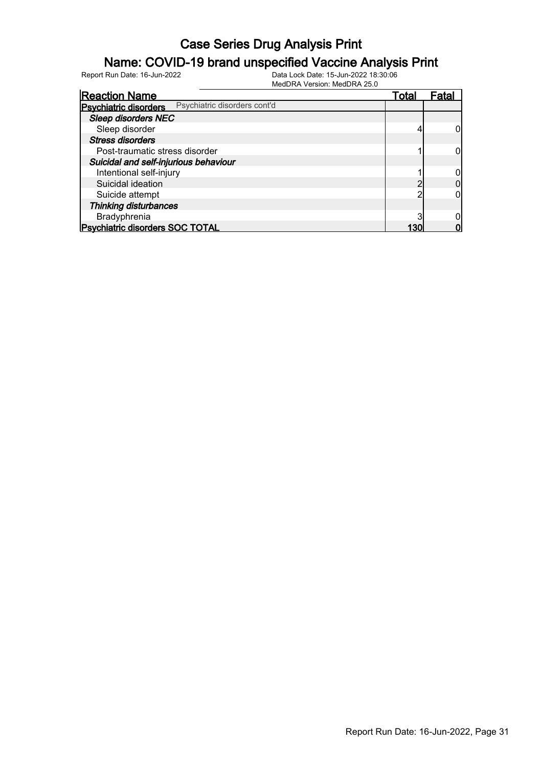### Name: COVID-19 brand unspecified Vaccine Analysis Print

| <b>Reaction Name</b>                   |                              | Total | Fatal |
|----------------------------------------|------------------------------|-------|-------|
| <b>Psychiatric disorders</b>           | Psychiatric disorders cont'd |       |       |
| <b>Sleep disorders NEC</b>             |                              |       |       |
| Sleep disorder                         |                              |       |       |
| <b>Stress disorders</b>                |                              |       |       |
| Post-traumatic stress disorder         |                              |       |       |
| Suicidal and self-injurious behaviour  |                              |       |       |
| Intentional self-injury                |                              |       |       |
| Suicidal ideation                      |                              |       |       |
| Suicide attempt                        |                              |       |       |
| <b>Thinking disturbances</b>           |                              |       |       |
| Bradyphrenia                           |                              |       |       |
| <b>Psychiatric disorders SOC TOTAL</b> |                              |       |       |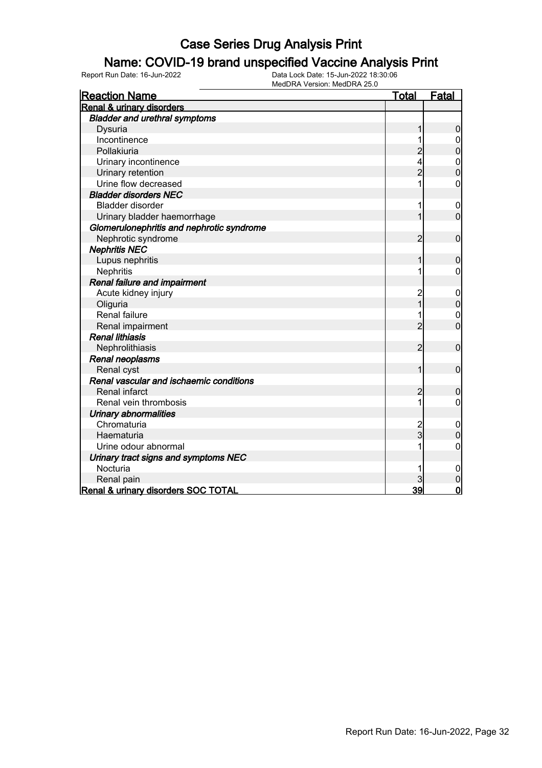#### Name: COVID-19 brand unspecified Vaccine Analysis Print

| <b>Reaction Name</b>                      | <b>Total</b>   | <b>Fatal</b>     |
|-------------------------------------------|----------------|------------------|
| Renal & urinary disorders                 |                |                  |
| <b>Bladder and urethral symptoms</b>      |                |                  |
| Dysuria                                   | 1              | $\boldsymbol{0}$ |
| Incontinence                              |                | 0                |
| Pollakiuria                               | $\overline{c}$ | $\mathbf 0$      |
| Urinary incontinence                      | 4              |                  |
| Urinary retention                         | $\overline{2}$ | $0\atop 0$       |
| Urine flow decreased                      |                | $\mathbf 0$      |
| <b>Bladder disorders NEC</b>              |                |                  |
| <b>Bladder disorder</b>                   | 1              | $\mathbf 0$      |
| Urinary bladder haemorrhage               | 1              | $\overline{0}$   |
| Glomerulonephritis and nephrotic syndrome |                |                  |
| Nephrotic syndrome                        | $\overline{2}$ | $\mathbf 0$      |
| <b>Nephritis NEC</b>                      |                |                  |
| Lupus nephritis                           | 1              | $\boldsymbol{0}$ |
| Nephritis                                 | 1              | $\mathbf 0$      |
| Renal failure and impairment              |                |                  |
| Acute kidney injury                       | $\overline{c}$ | $\boldsymbol{0}$ |
| Oliguria                                  | $\overline{1}$ | $\pmb{0}$        |
| <b>Renal failure</b>                      | 1              | $\mathbf 0$      |
| Renal impairment                          | $\overline{2}$ | $\overline{0}$   |
| <b>Renal lithiasis</b>                    |                |                  |
| Nephrolithiasis                           | $\overline{2}$ | $\mathbf 0$      |
| Renal neoplasms                           |                |                  |
| Renal cyst                                | 1              | $\mathbf 0$      |
| Renal vascular and ischaemic conditions   |                |                  |
| Renal infarct                             | $\overline{c}$ | $\boldsymbol{0}$ |
| Renal vein thrombosis                     | 1              | $\overline{0}$   |
| <b>Urinary abnormalities</b>              |                |                  |
| Chromaturia                               | $\overline{c}$ | $\mathbf 0$      |
| Haematuria                                | $\overline{3}$ | $\mathbf 0$      |
| Urine odour abnormal                      | 1              | $\mathbf 0$      |
| Urinary tract signs and symptoms NEC      |                |                  |
| Nocturia                                  | 1              | 0                |
| Renal pain                                |                | $\mathbf{0}$     |
| Renal & urinary disorders SOC TOTAL       | 39             | $\mathbf 0$      |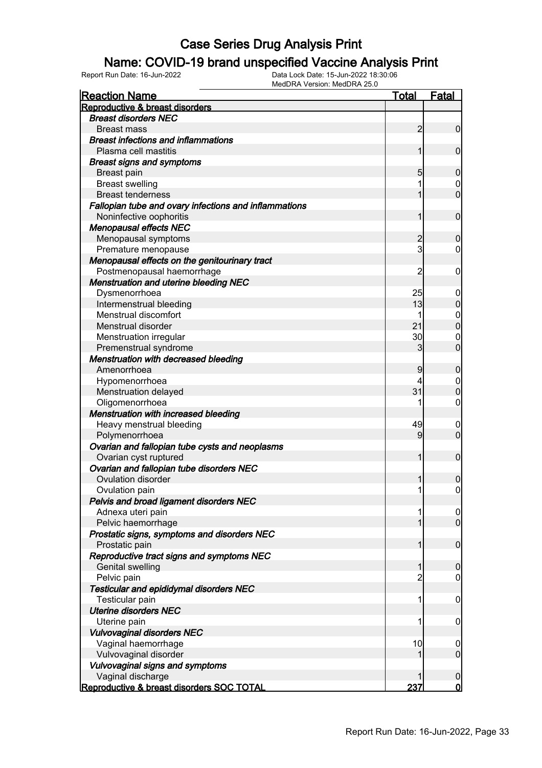### Name: COVID-19 brand unspecified Vaccine Analysis Print

| <b>Reaction Name</b>                                  | <u>Total</u>   | <b>Fatal</b>            |
|-------------------------------------------------------|----------------|-------------------------|
| Reproductive & breast disorders                       |                |                         |
| <b>Breast disorders NEC</b>                           |                |                         |
| <b>Breast mass</b>                                    | $\overline{2}$ | $\overline{0}$          |
| <b>Breast infections and inflammations</b>            |                |                         |
| Plasma cell mastitis                                  | 1              | $\overline{0}$          |
| <b>Breast signs and symptoms</b>                      |                |                         |
| <b>Breast pain</b>                                    | 5              | $\mathbf 0$             |
| <b>Breast swelling</b>                                |                | 0                       |
| <b>Breast tenderness</b>                              | 1              | $\overline{0}$          |
| Fallopian tube and ovary infections and inflammations |                |                         |
| Noninfective oophoritis                               | 1              | $\mathbf 0$             |
| <b>Menopausal effects NEC</b>                         |                |                         |
| Menopausal symptoms                                   | $\overline{2}$ | $\mathbf 0$             |
| Premature menopause                                   | 3              | 0                       |
| Menopausal effects on the genitourinary tract         |                |                         |
| Postmenopausal haemorrhage                            | $\overline{2}$ | $\mathbf 0$             |
| <b>Menstruation and uterine bleeding NEC</b>          |                |                         |
| Dysmenorrhoea                                         | 25             | $\boldsymbol{0}$        |
| Intermenstrual bleeding                               | 13             | $\boldsymbol{0}$        |
| Menstrual discomfort                                  |                | $\mathbf 0$             |
| Menstrual disorder                                    | 21             | $\overline{0}$          |
| Menstruation irregular                                | 30             | $\mathbf 0$             |
| Premenstrual syndrome                                 | 3              | $\overline{0}$          |
| <b>Menstruation with decreased bleeding</b>           |                |                         |
| Amenorrhoea                                           | 9              | $\boldsymbol{0}$        |
| Hypomenorrhoea                                        | 4              | $\mathbf 0$             |
| Menstruation delayed                                  | 31             | $\mathbf 0$             |
| Oligomenorrhoea                                       |                | 0                       |
| Menstruation with increased bleeding                  |                |                         |
| Heavy menstrual bleeding                              | 49             | $\mathbf 0$             |
| Polymenorrhoea                                        | 9              | $\overline{0}$          |
| Ovarian and fallopian tube cysts and neoplasms        |                |                         |
| Ovarian cyst ruptured                                 | 1              | $\mathbf 0$             |
| Ovarian and fallopian tube disorders NEC              |                |                         |
| Ovulation disorder                                    |                | $\mathbf 0$             |
| Ovulation pain                                        | 1              | $\overline{0}$          |
| Pelvis and broad ligament disorders NEC               |                |                         |
| Adnexa uteri pain                                     |                | 0                       |
| Pelvic haemorrhage                                    |                | $\overline{0}$          |
| Prostatic signs, symptoms and disorders NEC           |                |                         |
| Prostatic pain                                        | 1              | $\mathbf 0$             |
| Reproductive tract signs and symptoms NEC             |                |                         |
| <b>Genital swelling</b>                               | 1              | $\mathbf 0$             |
| Pelvic pain                                           | $\overline{2}$ | $\mathbf 0$             |
| <b>Testicular and epididymal disorders NEC</b>        |                |                         |
| Testicular pain                                       | 1              | $\mathbf 0$             |
| <b>Uterine disorders NEC</b>                          |                |                         |
| Uterine pain                                          |                | $\mathbf 0$             |
| <b>Vulvovaginal disorders NEC</b>                     |                |                         |
| Vaginal haemorrhage                                   | 10             | $\overline{0}$          |
| Vulvovaginal disorder                                 |                | $\overline{0}$          |
| Vulvovaginal signs and symptoms                       |                |                         |
| Vaginal discharge                                     |                | $\mathbf 0$             |
| Reproductive & breast disorders SOC TOTAL             | 237            | $\overline{\mathbf{0}}$ |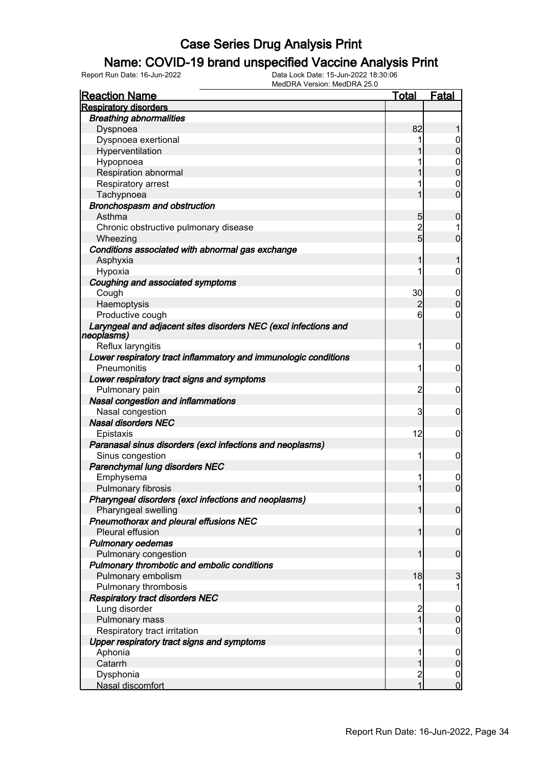### Name: COVID-19 brand unspecified Vaccine Analysis Print

| <b>Reaction Name</b>                                                          | <b>Total</b>            | <b>Fatal</b>                     |
|-------------------------------------------------------------------------------|-------------------------|----------------------------------|
| <b>Respiratory disorders</b>                                                  |                         |                                  |
| <b>Breathing abnormalities</b>                                                |                         |                                  |
| Dyspnoea                                                                      | 82                      |                                  |
| Dyspnoea exertional                                                           |                         | 0                                |
| Hyperventilation                                                              |                         | $\overline{0}$                   |
| Hypopnoea                                                                     |                         | $\mathbf 0$                      |
| Respiration abnormal                                                          |                         | $\overline{0}$                   |
| Respiratory arrest                                                            |                         | $\mathbf 0$                      |
| Tachypnoea                                                                    |                         | $\overline{0}$                   |
| <b>Bronchospasm and obstruction</b>                                           |                         |                                  |
| Asthma                                                                        | 5                       | $\boldsymbol{0}$                 |
| Chronic obstructive pulmonary disease                                         | $\overline{c}$          |                                  |
| Wheezing                                                                      | $5\overline{)}$         | $\overline{0}$                   |
| Conditions associated with abnormal gas exchange                              |                         |                                  |
| Asphyxia                                                                      | 1                       | 1                                |
| Hypoxia                                                                       |                         | $\mathbf 0$                      |
| Coughing and associated symptoms                                              |                         |                                  |
| Cough                                                                         | 30                      | $\boldsymbol{0}$                 |
| Haemoptysis                                                                   | $\overline{c}$          | $\mathbf 0$                      |
| Productive cough                                                              | 6                       | 0                                |
| Laryngeal and adjacent sites disorders NEC (excl infections and<br>neoplasms) |                         |                                  |
| Reflux laryngitis                                                             | 1                       | $\mathbf 0$                      |
| Lower respiratory tract inflammatory and immunologic conditions               |                         |                                  |
| Pneumonitis                                                                   | 1                       | 0                                |
| Lower respiratory tract signs and symptoms                                    |                         |                                  |
| Pulmonary pain                                                                | $\overline{2}$          | 0                                |
| Nasal congestion and inflammations                                            |                         |                                  |
| Nasal congestion                                                              | 3                       | 0                                |
| <b>Nasal disorders NEC</b>                                                    |                         |                                  |
| Epistaxis                                                                     | 12                      | 0                                |
| Paranasal sinus disorders (excl infections and neoplasms)                     |                         |                                  |
| Sinus congestion                                                              | 1                       | $\mathbf 0$                      |
| Parenchymal lung disorders NEC                                                |                         |                                  |
| Emphysema                                                                     | 1                       | 0                                |
| Pulmonary fibrosis                                                            | 1                       | $\overline{0}$                   |
| Pharyngeal disorders (excl infections and neoplasms)                          |                         |                                  |
| Pharyngeal swelling                                                           | $\mathbf{1}$            | $\mathbf 0$                      |
| Pneumothorax and pleural effusions NEC                                        |                         |                                  |
| Pleural effusion                                                              | 1                       | $\mathbf 0$                      |
| <b>Pulmonary oedemas</b>                                                      |                         |                                  |
| Pulmonary congestion                                                          | 1                       | $\mathbf 0$                      |
| Pulmonary thrombotic and embolic conditions                                   |                         |                                  |
| Pulmonary embolism                                                            | 18                      | 3                                |
| Pulmonary thrombosis                                                          |                         | 1                                |
| <b>Respiratory tract disorders NEC</b>                                        |                         |                                  |
| Lung disorder                                                                 | $\overline{c}$          | $\mathbf 0$                      |
| Pulmonary mass                                                                | $\overline{1}$          | $\mathbf 0$                      |
| Respiratory tract irritation                                                  | 1                       | $\boldsymbol{0}$                 |
| Upper respiratory tract signs and symptoms                                    |                         |                                  |
| Aphonia                                                                       | 1                       | $\mathbf 0$                      |
| Catarrh                                                                       | 1                       | $\mathbf 0$                      |
| Dysphonia                                                                     | $\overline{\mathbf{c}}$ | $\begin{matrix}0\\0\end{matrix}$ |
| Nasal discomfort                                                              | $\overline{1}$          |                                  |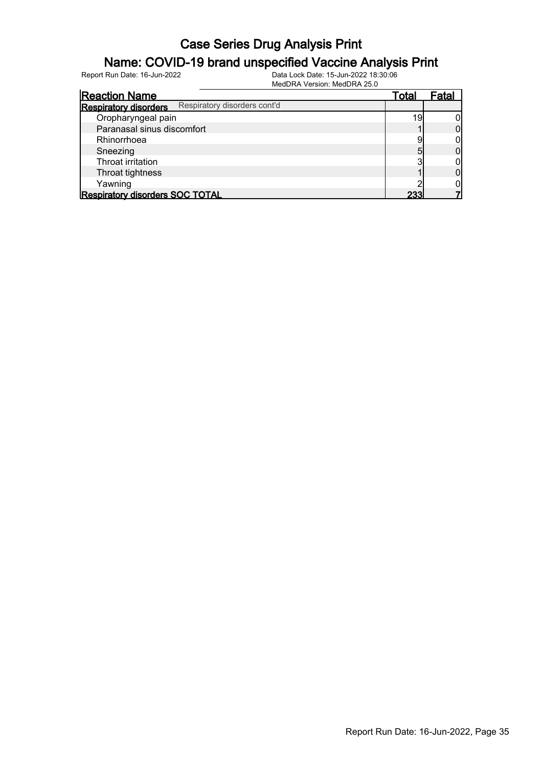#### Name: COVID-19 brand unspecified Vaccine Analysis Print

| <b>Reaction Name</b>                   |                              | Total | Fatal |
|----------------------------------------|------------------------------|-------|-------|
| <b>Respiratory disorders</b>           | Respiratory disorders cont'd |       |       |
| Oropharyngeal pain                     |                              | 19    |       |
| Paranasal sinus discomfort             |                              |       |       |
| Rhinorrhoea                            |                              |       |       |
| Sneezing                               |                              |       |       |
| Throat irritation                      |                              |       |       |
| Throat tightness                       |                              |       |       |
| Yawning                                |                              |       |       |
| <b>Respiratory disorders SOC TOTAL</b> |                              | 233   |       |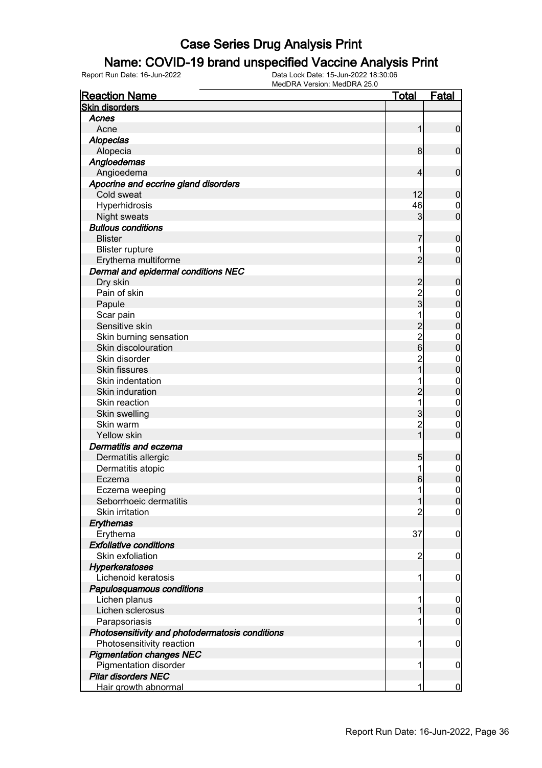#### Name: COVID-19 brand unspecified Vaccine Analysis Print

| <b>Reaction Name</b>                            | Total                                      | <b>Fatal</b>     |
|-------------------------------------------------|--------------------------------------------|------------------|
| <b>Skin disorders</b>                           |                                            |                  |
| Acnes                                           |                                            |                  |
| Acne                                            | 1                                          | $\mathbf 0$      |
| <b>Alopecias</b>                                |                                            |                  |
| Alopecia                                        | 8                                          | $\mathbf 0$      |
| Angioedemas                                     |                                            |                  |
| Angioedema                                      | 4                                          | $\mathbf 0$      |
| Apocrine and eccrine gland disorders            |                                            |                  |
| Cold sweat                                      | 12                                         | $\mathbf 0$      |
| Hyperhidrosis                                   | 46                                         | 0                |
| <b>Night sweats</b>                             | 3                                          | $\mathbf 0$      |
| <b>Bullous conditions</b>                       |                                            |                  |
| <b>Blister</b>                                  | 7                                          | $\mathbf 0$      |
| <b>Blister rupture</b>                          |                                            | 0                |
| Erythema multiforme                             | $\overline{2}$                             | $\overline{0}$   |
| Dermal and epidermal conditions NEC             |                                            |                  |
| Dry skin                                        |                                            | $\mathbf 0$      |
| Pain of skin                                    | $\overline{\mathbf{c}}$                    |                  |
|                                                 | $\frac{2}{3}$                              | 0<br>$\pmb{0}$   |
| Papule                                          | 1                                          |                  |
| Scar pain<br>Sensitive skin                     |                                            | 0<br>$\mathbf 0$ |
|                                                 | $\begin{array}{c} 2 \\ 2 \\ 6 \end{array}$ |                  |
| Skin burning sensation<br>Skin discolouration   |                                            | $\mathbf 0$      |
|                                                 |                                            | $\mathbf 0$      |
| Skin disorder                                   | $\overline{c}$<br>1                        | $\mathbf 0$      |
| <b>Skin fissures</b>                            |                                            | $\mathbf 0$      |
| Skin indentation                                |                                            | $\mathbf{0}$     |
| Skin induration                                 | $\overline{c}$                             | $\mathbf 0$      |
| Skin reaction                                   | 1                                          | $\mathbf 0$      |
| Skin swelling                                   | 3                                          | $\mathbf 0$      |
| Skin warm                                       | $\overline{c}$                             | 0                |
| <b>Yellow skin</b>                              | 1                                          | $\overline{0}$   |
| Dermatitis and eczema                           |                                            |                  |
| Dermatitis allergic                             | 5                                          | $\mathbf 0$      |
| Dermatitis atopic                               | 1                                          | $\mathbf 0$      |
| Eczema                                          | 6                                          | $\mathbf 0$      |
| Eczema weeping                                  | 1                                          | $\boldsymbol{0}$ |
| Seborrhoeic dermatitis                          | $\mathbf{1}$                               | 0                |
| <b>Skin irritation</b>                          | 2                                          | $\overline{0}$   |
| Erythemas                                       |                                            |                  |
| Erythema                                        | 37                                         | $\mathbf 0$      |
| <b>Exfoliative conditions</b>                   |                                            |                  |
| Skin exfoliation                                | $\overline{c}$                             | $\mathbf 0$      |
| <b>Hyperkeratoses</b>                           |                                            |                  |
| Lichenoid keratosis                             | 1                                          | $\mathbf 0$      |
| Papulosquamous conditions                       |                                            |                  |
| Lichen planus                                   | 1                                          | $\overline{0}$   |
| Lichen sclerosus                                |                                            | $\boldsymbol{0}$ |
| Parapsoriasis                                   |                                            | $\mathbf 0$      |
| Photosensitivity and photodermatosis conditions |                                            |                  |
| Photosensitivity reaction                       | 1                                          | $\mathbf 0$      |
| <b>Pigmentation changes NEC</b>                 |                                            |                  |
| Pigmentation disorder                           | 1                                          | $\mathbf 0$      |
| <b>Pilar disorders NEC</b>                      |                                            |                  |
| Hair growth abnormal                            | 1                                          | $\overline{0}$   |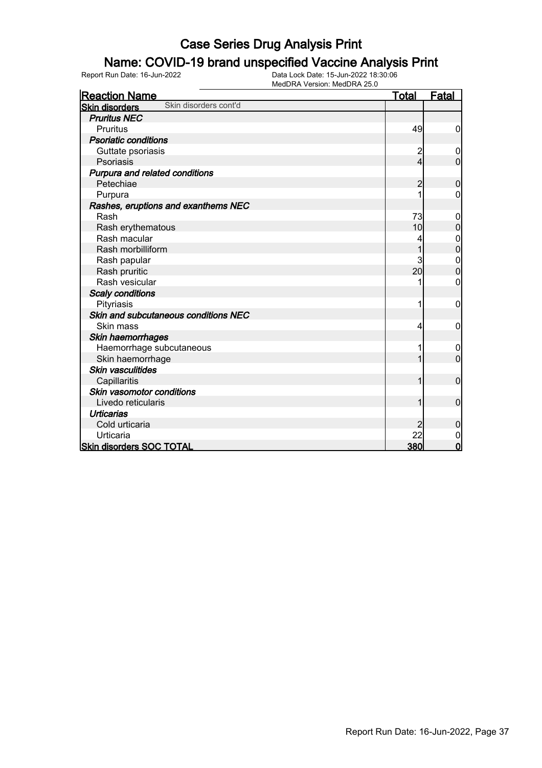#### Name: COVID-19 brand unspecified Vaccine Analysis Print

| <b>Reaction Name</b>                           | <b>Total</b>   | <b>Fatal</b>     |
|------------------------------------------------|----------------|------------------|
| Skin disorders cont'd<br><b>Skin disorders</b> |                |                  |
| <b>Pruritus NEC</b>                            |                |                  |
| <b>Pruritus</b>                                | 49             | $\mathbf 0$      |
| <b>Psoriatic conditions</b>                    |                |                  |
| Guttate psoriasis                              | $\overline{c}$ | 0                |
| Psoriasis                                      | 4              | $\overline{0}$   |
| Purpura and related conditions                 |                |                  |
| Petechiae                                      | 2              | $\mathbf 0$      |
| Purpura                                        |                | 0                |
| Rashes, eruptions and exanthems NEC            |                |                  |
| Rash                                           | 73             | 0                |
| Rash erythematous                              | 10             | $\boldsymbol{0}$ |
| Rash macular                                   |                | 0                |
| Rash morbilliform                              |                | $\mathbf 0$      |
| Rash papular                                   | 3              | $\mathbf{0}$     |
| Rash pruritic                                  | 20             | $\overline{0}$   |
| Rash vesicular                                 |                | 0                |
| <b>Scaly conditions</b>                        |                |                  |
| Pityriasis                                     |                | 0                |
| Skin and subcutaneous conditions NEC           |                |                  |
| Skin mass                                      | 4              | 0                |
| Skin haemorrhages                              |                |                  |
| Haemorrhage subcutaneous                       |                | 0                |
| Skin haemorrhage                               |                | $\overline{0}$   |
| <b>Skin vasculitides</b>                       |                |                  |
| Capillaritis                                   | 1              | $\mathbf 0$      |
| Skin vasomotor conditions                      |                |                  |
| Livedo reticularis                             | 1              | $\mathbf 0$      |
| <b>Urticarias</b>                              |                |                  |
| Cold urticaria                                 |                | $\mathbf 0$      |
| Urticaria                                      | 22             | 0                |
| <b>Skin disorders SOC TOTAL</b>                | 380            | $\overline{0}$   |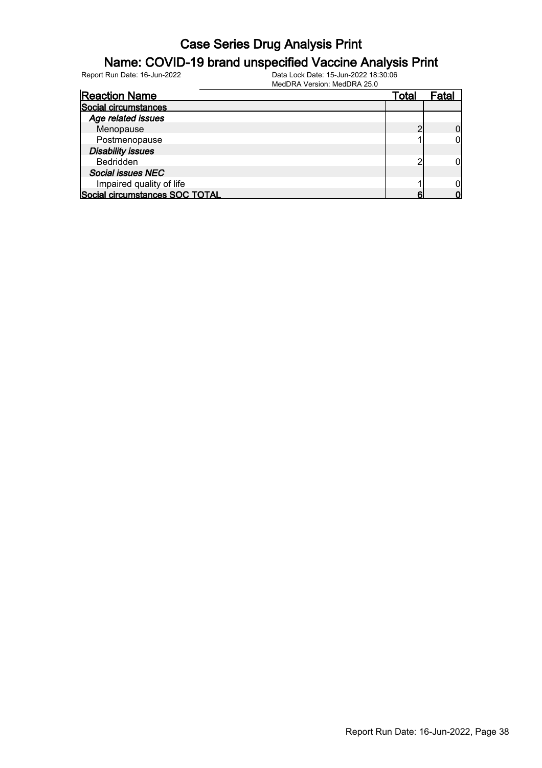#### Name: COVID-19 brand unspecified Vaccine Analysis Print

Report Run Date: 16-Jun-2022 Data Lock Date: 15-Jun-2022 18:30:06

MedDRA Version: MedDRA 25.0

| <b>Reaction Name</b>           | Total | Fatal |
|--------------------------------|-------|-------|
| Social circumstances           |       |       |
| Age related issues             |       |       |
| Menopause                      |       |       |
| Postmenopause                  |       |       |
| <b>Disability issues</b>       |       |       |
| Bedridden                      |       |       |
| <b>Social issues NEC</b>       |       |       |
| Impaired quality of life       |       |       |
| Social circumstances SOC TOTAL |       |       |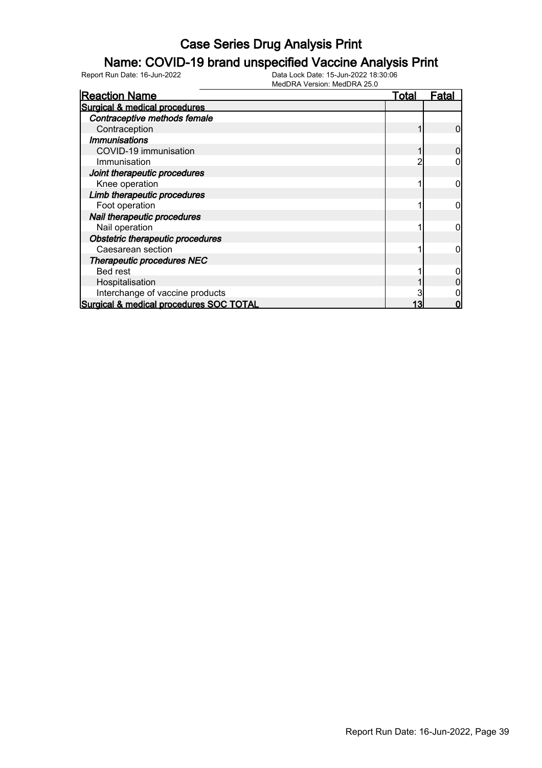#### Name: COVID-19 brand unspecified Vaccine Analysis Print

| <b>Reaction Name</b>                    | <b>Total</b> | Fatal |
|-----------------------------------------|--------------|-------|
| Surgical & medical procedures           |              |       |
| Contraceptive methods female            |              |       |
| Contraception                           |              |       |
| <b>Immunisations</b>                    |              |       |
| COVID-19 immunisation                   |              |       |
| Immunisation                            |              |       |
| Joint therapeutic procedures            |              |       |
| Knee operation                          |              |       |
| Limb therapeutic procedures             |              |       |
| Foot operation                          |              |       |
| Nail therapeutic procedures             |              |       |
| Nail operation                          |              |       |
| Obstetric therapeutic procedures        |              |       |
| Caesarean section                       |              |       |
| <b>Therapeutic procedures NEC</b>       |              |       |
| Bed rest                                |              |       |
| Hospitalisation                         |              |       |
| Interchange of vaccine products         |              |       |
| Surgical & medical procedures SOC TOTAL |              |       |